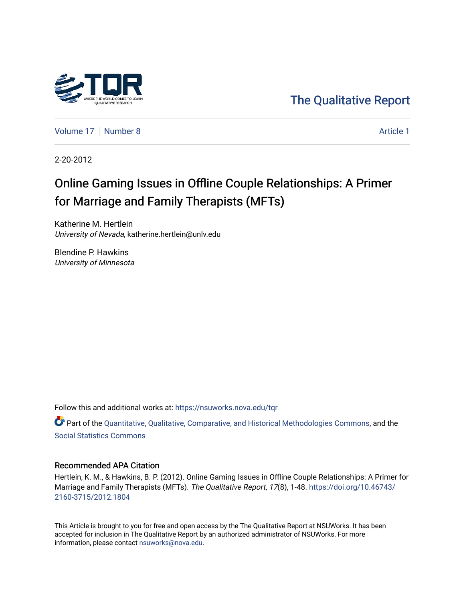

[The Qualitative Report](https://nsuworks.nova.edu/tqr) 

[Volume 17](https://nsuworks.nova.edu/tqr/vol17) [Number 8](https://nsuworks.nova.edu/tqr/vol17/iss8) Article 1

2-20-2012

## Online Gaming Issues in Offline Couple Relationships: A Primer for Marriage and Family Therapists (MFTs)

Katherine M. Hertlein University of Nevada, katherine.hertlein@unlv.edu

Blendine P. Hawkins University of Minnesota

Follow this and additional works at: [https://nsuworks.nova.edu/tqr](https://nsuworks.nova.edu/tqr?utm_source=nsuworks.nova.edu%2Ftqr%2Fvol17%2Fiss8%2F1&utm_medium=PDF&utm_campaign=PDFCoverPages) 

Part of the [Quantitative, Qualitative, Comparative, and Historical Methodologies Commons,](http://network.bepress.com/hgg/discipline/423?utm_source=nsuworks.nova.edu%2Ftqr%2Fvol17%2Fiss8%2F1&utm_medium=PDF&utm_campaign=PDFCoverPages) and the [Social Statistics Commons](http://network.bepress.com/hgg/discipline/1275?utm_source=nsuworks.nova.edu%2Ftqr%2Fvol17%2Fiss8%2F1&utm_medium=PDF&utm_campaign=PDFCoverPages) 

#### Recommended APA Citation

Hertlein, K. M., & Hawkins, B. P. (2012). Online Gaming Issues in Offline Couple Relationships: A Primer for Marriage and Family Therapists (MFTs). The Qualitative Report, 17(8), 1-48. [https://doi.org/10.46743/](https://doi.org/10.46743/2160-3715/2012.1804) [2160-3715/2012.1804](https://doi.org/10.46743/2160-3715/2012.1804)

This Article is brought to you for free and open access by the The Qualitative Report at NSUWorks. It has been accepted for inclusion in The Qualitative Report by an authorized administrator of NSUWorks. For more information, please contact [nsuworks@nova.edu.](mailto:nsuworks@nova.edu)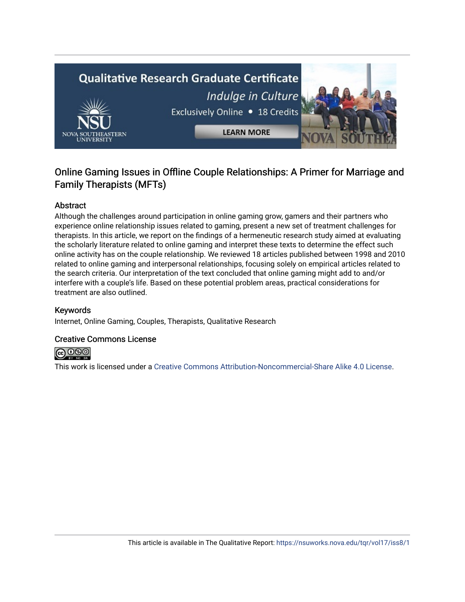# **Qualitative Research Graduate Certificate** Indulge in Culture Exclusively Online . 18 Credits **LEARN MORE**

### Online Gaming Issues in Offline Couple Relationships: A Primer for Marriage and Family Therapists (MFTs)

#### Abstract

Although the challenges around participation in online gaming grow, gamers and their partners who experience online relationship issues related to gaming, present a new set of treatment challenges for therapists. In this article, we report on the findings of a hermeneutic research study aimed at evaluating the scholarly literature related to online gaming and interpret these texts to determine the effect such online activity has on the couple relationship. We reviewed 18 articles published between 1998 and 2010 related to online gaming and interpersonal relationships, focusing solely on empirical articles related to the search criteria. Our interpretation of the text concluded that online gaming might add to and/or interfere with a couple's life. Based on these potential problem areas, practical considerations for treatment are also outlined.

#### Keywords

Internet, Online Gaming, Couples, Therapists, Qualitative Research

#### Creative Commons License



This work is licensed under a [Creative Commons Attribution-Noncommercial-Share Alike 4.0 License](https://creativecommons.org/licenses/by-nc-sa/4.0/).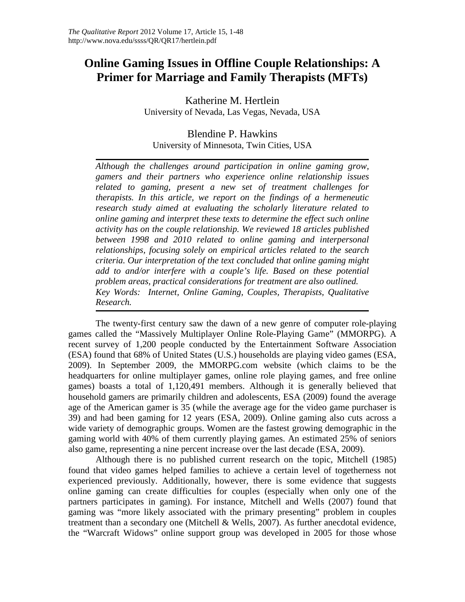## **Online Gaming Issues in Offline Couple Relationships: A Primer for Marriage and Family Therapists (MFTs)**

Katherine M. Hertlein University of Nevada, Las Vegas, Nevada, USA

Blendine P. Hawkins University of Minnesota, Twin Cities, USA

*Although the challenges around participation in online gaming grow, gamers and their partners who experience online relationship issues related to gaming, present a new set of treatment challenges for therapists. In this article, we report on the findings of a hermeneutic research study aimed at evaluating the scholarly literature related to online gaming and interpret these texts to determine the effect such online activity has on the couple relationship. We reviewed 18 articles published between 1998 and 2010 related to online gaming and interpersonal relationships, focusing solely on empirical articles related to the search criteria. Our interpretation of the text concluded that online gaming might add to and/or interfere with a couple's life. Based on these potential problem areas, practical considerations for treatment are also outlined. Key Words: Internet, Online Gaming, Couples, Therapists, Qualitative Research.*

The twenty-first century saw the dawn of a new genre of computer role-playing games called the "Massively Multiplayer Online Role-Playing Game" (MMORPG). A recent survey of 1,200 people conducted by the Entertainment Software Association (ESA) found that 68% of United States (U.S.) households are playing video games (ESA, 2009). In September 2009, the MMORPG.com website (which claims to be the headquarters for online multiplayer games, online role playing games, and free online games) boasts a total of 1,120,491 members. Although it is generally believed that household gamers are primarily children and adolescents, ESA (2009) found the average age of the American gamer is 35 (while the average age for the video game purchaser is 39) and had been gaming for 12 years (ESA, 2009). Online gaming also cuts across a wide variety of demographic groups. Women are the fastest growing demographic in the gaming world with 40% of them currently playing games. An estimated 25% of seniors also game, representing a nine percent increase over the last decade (ESA, 2009).

Although there is no published current research on the topic, Mitchell (1985) found that video games helped families to achieve a certain level of togetherness not experienced previously. Additionally, however, there is some evidence that suggests online gaming can create difficulties for couples (especially when only one of the partners participates in gaming). For instance, Mitchell and Wells (2007) found that gaming was "more likely associated with the primary presenting" problem in couples treatment than a secondary one (Mitchell & Wells, 2007). As further anecdotal evidence, the "Warcraft Widows" online support group was developed in 2005 for those whose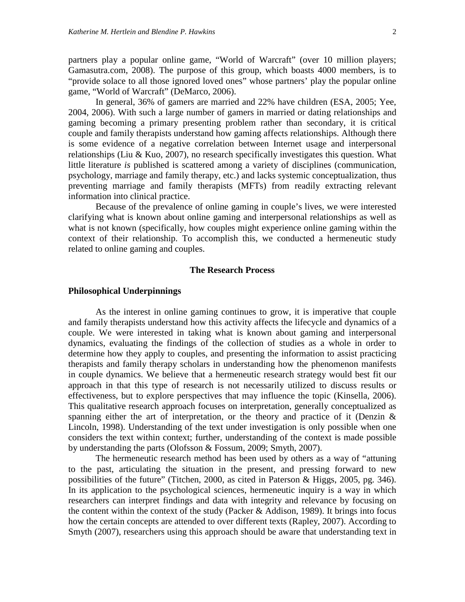partners play a popular online game, "World of Warcraft" (over 10 million players; Gamasutra.com, 2008). The purpose of this group, which boasts 4000 members, is to "provide solace to all those ignored loved ones" whose partners' play the popular online game, "World of Warcraft" [\(DeM](http://kotaku.com/222201/warcraft-widows-an-internet-support-group)arco, 2006).

In general, 36% of gamers are married and 22% have children (ESA, 2005; Yee, 2004, 2006). With such a large number of gamers in married or dating relationships and gaming becoming a primary presenting problem rather than secondary, it is critical couple and family therapists understand how gaming affects relationships. Although there is some evidence of a negative correlation between Internet usage and interpersonal relationships (Liu & Kuo, 2007), no research specifically investigates this question. What little literature *is* published is scattered among a variety of disciplines (communication, psychology, marriage and family therapy, etc.) and lacks systemic conceptualization, thus preventing marriage and family therapists (MFTs) from readily extracting relevant information into clinical practice.

Because of the prevalence of online gaming in couple's lives, we were interested clarifying what is known about online gaming and interpersonal relationships as well as what is not known (specifically, how couples might experience online gaming within the context of their relationship. To accomplish this, we conducted a hermeneutic study related to online gaming and couples.

#### **The Research Process**

#### **Philosophical Underpinnings**

As the interest in online gaming continues to grow, it is imperative that couple and family therapists understand how this activity affects the lifecycle and dynamics of a couple. We were interested in taking what is known about gaming and interpersonal dynamics, evaluating the findings of the collection of studies as a whole in order to determine how they apply to couples, and presenting the information to assist practicing therapists and family therapy scholars in understanding how the phenomenon manifests in couple dynamics. We believe that a hermeneutic research strategy would best fit our approach in that this type of research is not necessarily utilized to discuss results or effectiveness, but to explore perspectives that may influence the topic (Kinsella, 2006). This qualitative research approach focuses on interpretation, generally conceptualized as spanning either the art of interpretation, or the theory and practice of it (Denzin  $\&$ Lincoln, 1998). Understanding of the text under investigation is only possible when one considers the text within context; further, understanding of the context is made possible by understanding the parts (Olofsson & Fossum, 2009; Smyth, 2007).

The hermeneutic research method has been used by others as a way of "attuning to the past, articulating the situation in the present, and pressing forward to new possibilities of the future" (Titchen, 2000, as cited in Paterson & Higgs, 2005, pg. 346). In its application to the psychological sciences, hermeneutic inquiry is a way in which researchers can interpret findings and data with integrity and relevance by focusing on the content within the context of the study (Packer & Addison, 1989). It brings into focus how the certain concepts are attended to over different texts (Rapley, 2007). According to Smyth (2007), researchers using this approach should be aware that understanding text in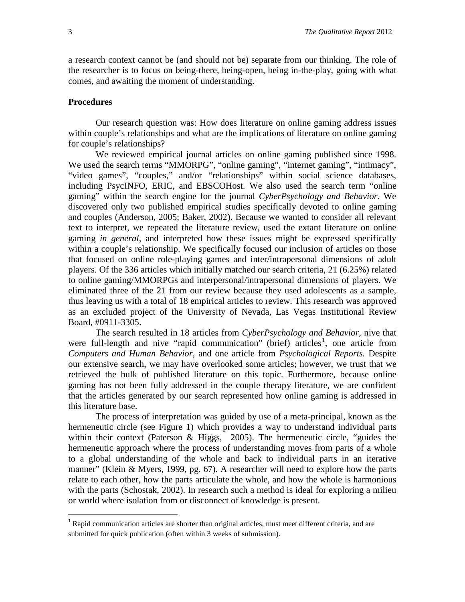a research context cannot be (and should not be) separate from our thinking. The role of the researcher is to focus on being-there, being-open, being in-the-play, going with what comes, and awaiting the moment of understanding.

#### **Procedures**

Our research question was: How does literature on online gaming address issues within couple's relationships and what are the implications of literature on online gaming for couple's relationships?

We reviewed empirical journal articles on online gaming published since 1998. We used the search terms "MMORPG", "online gaming", "internet gaming", "intimacy", "video games", "couples," and/or "relationships" within social science databases, including PsycINFO, ERIC, and EBSCOHost. We also used the search term "online gaming" within the search engine for the journal *CyberPsychology and Behavior*. We discovered only two published empirical studies specifically devoted to online gaming and couples (Anderson, 2005; Baker, 2002). Because we wanted to consider all relevant text to interpret, we repeated the literature review, used the extant literature on online gaming *in general*, and interpreted how these issues might be expressed specifically within a couple's relationship. We specifically focused our inclusion of articles on those that focused on online role-playing games and inter/intrapersonal dimensions of adult players. Of the 336 articles which initially matched our search criteria, 21 (6.25%) related to online gaming/MMORPGs and interpersonal/intrapersonal dimensions of players. We eliminated three of the 21 from our review because they used adolescents as a sample, thus leaving us with a total of 18 empirical articles to review. This research was approved as an excluded project of the University of Nevada, Las Vegas Institutional Review Board, #0911-3305.

The search resulted in 18 articles from *CyberPsychology and Behavior,* nive that were full-length and nive "rapid communication" (brief) articles<sup>[1](#page-4-0)</sup>, one article from *Computers and Human Behavior*, and one article from *Psychological Reports.* Despite our extensive search, we may have overlooked some articles; however, we trust that we retrieved the bulk of published literature on this topic. Furthermore, because online gaming has not been fully addressed in the couple therapy literature, we are confident that the articles generated by our search represented how online gaming is addressed in this literature base.

The process of interpretation was guided by use of a meta-principal, known as the hermeneutic circle (see Figure 1) which provides a way to understand individual parts within their context (Paterson & Higgs, 2005). The hermeneutic circle, "guides the hermeneutic approach where the process of understanding moves from parts of a whole to a global understanding of the whole and back to individual parts in an iterative manner" (Klein & Myers, 1999, pg. 67). A researcher will need to explore how the parts relate to each other, how the parts articulate the whole, and how the whole is harmonious with the parts (Schostak, 2002). In research such a method is ideal for exploring a milieu or world where isolation from or disconnect of knowledge is present.

<span id="page-4-0"></span><sup>&</sup>lt;sup>1</sup> Rapid communication articles are shorter than original articles, must meet different criteria, and are submitted for quick publication (often within 3 weeks of submission).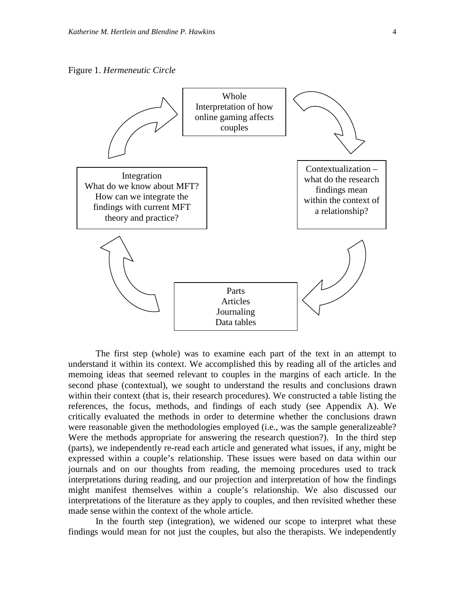Figure 1. *Hermeneutic Circle*



The first step (whole) was to examine each part of the text in an attempt to understand it within its context. We accomplished this by reading all of the articles and memoing ideas that seemed relevant to couples in the margins of each article. In the second phase (contextual), we sought to understand the results and conclusions drawn within their context (that is, their research procedures). We constructed a table listing the references, the focus, methods, and findings of each study (see Appendix A). We critically evaluated the methods in order to determine whether the conclusions drawn were reasonable given the methodologies employed (i.e., was the sample generalizeable? Were the methods appropriate for answering the research question?). In the third step (parts), we independently re-read each article and generated what issues, if any, might be expressed within a couple's relationship. These issues were based on data within our journals and on our thoughts from reading, the memoing procedures used to track interpretations during reading, and our projection and interpretation of how the findings might manifest themselves within a couple's relationship. We also discussed our interpretations of the literature as they apply to couples, and then revisited whether these made sense within the context of the whole article.

In the fourth step (integration), we widened our scope to interpret what these findings would mean for not just the couples, but also the therapists. We independently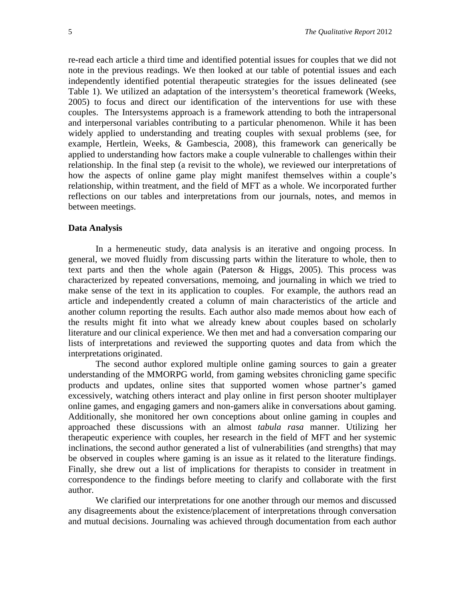re-read each article a third time and identified potential issues for couples that we did not note in the previous readings. We then looked at our table of potential issues and each independently identified potential therapeutic strategies for the issues delineated (see Table 1). We utilized an adaptation of the intersystem's theoretical framework (Weeks, 2005) to focus and direct our identification of the interventions for use with these couples. The Intersystems approach is a framework attending to both the intrapersonal and interpersonal variables contributing to a particular phenomenon. While it has been widely applied to understanding and treating couples with sexual problems (see, for example, Hertlein, Weeks, & Gambescia, 2008), this framework can generically be applied to understanding how factors make a couple vulnerable to challenges within their relationship. In the final step (a revisit to the whole), we reviewed our interpretations of how the aspects of online game play might manifest themselves within a couple's relationship, within treatment, and the field of MFT as a whole. We incorporated further reflections on our tables and interpretations from our journals, notes, and memos in between meetings.

#### **Data Analysis**

In a hermeneutic study, data analysis is an iterative and ongoing process. In general, we moved fluidly from discussing parts within the literature to whole, then to text parts and then the whole again (Paterson & Higgs, 2005). This process was characterized by repeated conversations, memoing, and journaling in which we tried to make sense of the text in its application to couples. For example, the authors read an article and independently created a column of main characteristics of the article and another column reporting the results. Each author also made memos about how each of the results might fit into what we already knew about couples based on scholarly literature and our clinical experience. We then met and had a conversation comparing our lists of interpretations and reviewed the supporting quotes and data from which the interpretations originated.

The second author explored multiple online gaming sources to gain a greater understanding of the MMORPG world, from gaming websites chronicling game specific products and updates, online sites that supported women whose partner's gamed excessively, watching others interact and play online in first person shooter multiplayer online games, and engaging gamers and non-gamers alike in conversations about gaming. Additionally, she monitored her own conceptions about online gaming in couples and approached these discussions with an almost *tabula rasa* manner. Utilizing her therapeutic experience with couples, her research in the field of MFT and her systemic inclinations, the second author generated a list of vulnerabilities (and strengths) that may be observed in couples where gaming is an issue as it related to the literature findings. Finally, she drew out a list of implications for therapists to consider in treatment in correspondence to the findings before meeting to clarify and collaborate with the first author.

We clarified our interpretations for one another through our memos and discussed any disagreements about the existence/placement of interpretations through conversation and mutual decisions. Journaling was achieved through documentation from each author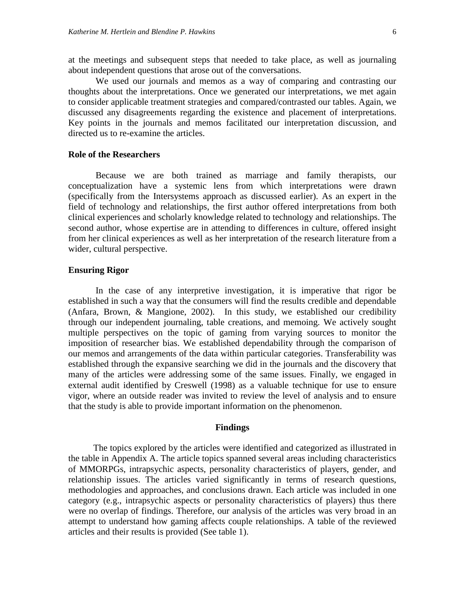at the meetings and subsequent steps that needed to take place, as well as journaling about independent questions that arose out of the conversations.

We used our journals and memos as a way of comparing and contrasting our thoughts about the interpretations. Once we generated our interpretations, we met again to consider applicable treatment strategies and compared/contrasted our tables. Again, we discussed any disagreements regarding the existence and placement of interpretations. Key points in the journals and memos facilitated our interpretation discussion, and directed us to re-examine the articles.

#### **Role of the Researchers**

Because we are both trained as marriage and family therapists, our conceptualization have a systemic lens from which interpretations were drawn (specifically from the Intersystems approach as discussed earlier). As an expert in the field of technology and relationships, the first author offered interpretations from both clinical experiences and scholarly knowledge related to technology and relationships. The second author, whose expertise are in attending to differences in culture, offered insight from her clinical experiences as well as her interpretation of the research literature from a wider, cultural perspective.

#### **Ensuring Rigor**

In the case of any interpretive investigation, it is imperative that rigor be established in such a way that the consumers will find the results credible and dependable (Anfara, Brown, & Mangione, 2002). In this study, we established our credibility through our independent journaling, table creations, and memoing. We actively sought multiple perspectives on the topic of gaming from varying sources to monitor the imposition of researcher bias. We established dependability through the comparison of our memos and arrangements of the data within particular categories. Transferability was established through the expansive searching we did in the journals and the discovery that many of the articles were addressing some of the same issues. Finally, we engaged in external audit identified by Creswell (1998) as a valuable technique for use to ensure vigor, where an outside reader was invited to review the level of analysis and to ensure that the study is able to provide important information on the phenomenon.

#### **Findings**

The topics explored by the articles were identified and categorized as illustrated in the table in Appendix A. The article topics spanned several areas including characteristics of MMORPGs, intrapsychic aspects, personality characteristics of players, gender, and relationship issues. The articles varied significantly in terms of research questions, methodologies and approaches, and conclusions drawn. Each article was included in one category (e.g., intrapsychic aspects or personality characteristics of players) thus there were no overlap of findings. Therefore, our analysis of the articles was very broad in an attempt to understand how gaming affects couple relationships. A table of the reviewed articles and their results is provided (See table 1).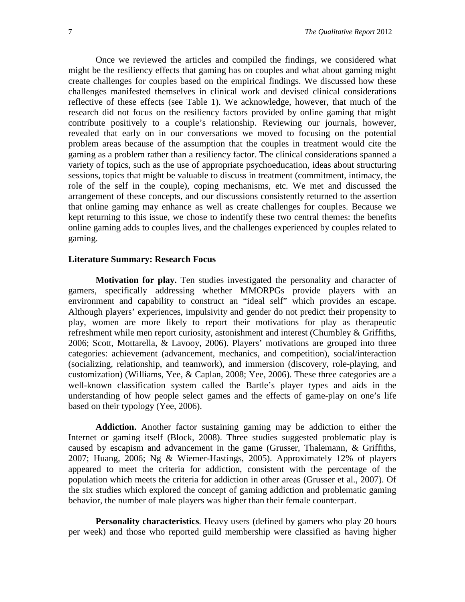Once we reviewed the articles and compiled the findings, we considered what might be the resiliency effects that gaming has on couples and what about gaming might create challenges for couples based on the empirical findings. We discussed how these challenges manifested themselves in clinical work and devised clinical considerations reflective of these effects (see Table 1). We acknowledge, however, that much of the research did not focus on the resiliency factors provided by online gaming that might contribute positively to a couple's relationship. Reviewing our journals, however, revealed that early on in our conversations we moved to focusing on the potential problem areas because of the assumption that the couples in treatment would cite the gaming as a problem rather than a resiliency factor. The clinical considerations spanned a variety of topics, such as the use of appropriate psychoeducation, ideas about structuring sessions, topics that might be valuable to discuss in treatment (commitment, intimacy, the role of the self in the couple), coping mechanisms, etc. We met and discussed the arrangement of these concepts, and our discussions consistently returned to the assertion that online gaming may enhance as well as create challenges for couples. Because we kept returning to this issue, we chose to indentify these two central themes: the benefits online gaming adds to couples lives, and the challenges experienced by couples related to gaming.

#### **Literature Summary: Research Focus**

**Motivation for play.** Ten studies investigated the personality and character of gamers, specifically addressing whether MMORPGs provide players with an environment and capability to construct an "ideal self" which provides an escape. Although players' experiences, impulsivity and gender do not predict their propensity to play, women are more likely to report their motivations for play as therapeutic refreshment while men report curiosity, astonishment and interest (Chumbley & Griffiths, 2006; Scott, Mottarella, & Lavooy, 2006). Players' motivations are grouped into three categories: achievement (advancement, mechanics, and competition), social/interaction (socializing, relationship, and teamwork), and immersion (discovery, role-playing, and customization) (Williams, Yee, & Caplan, 2008; Yee, 2006). These three categories are a well-known classification system called the Bartle's player types and aids in the understanding of how people select games and the effects of game-play on one's life based on their typology (Yee, 2006).

**Addiction.** Another factor sustaining gaming may be addiction to either the Internet or gaming itself (Block, 2008). Three studies suggested problematic play is caused by escapism and advancement in the game (Grusser, Thalemann, & Griffiths, 2007; Huang, 2006; Ng & Wiemer-Hastings, 2005). Approximately 12% of players appeared to meet the criteria for addiction, consistent with the percentage of the population which meets the criteria for addiction in other areas (Grusser et al., 2007). Of the six studies which explored the concept of gaming addiction and problematic gaming behavior, the number of male players was higher than their female counterpart.

**Personality characteristics**. Heavy users (defined by gamers who play 20 hours per week) and those who reported guild membership were classified as having higher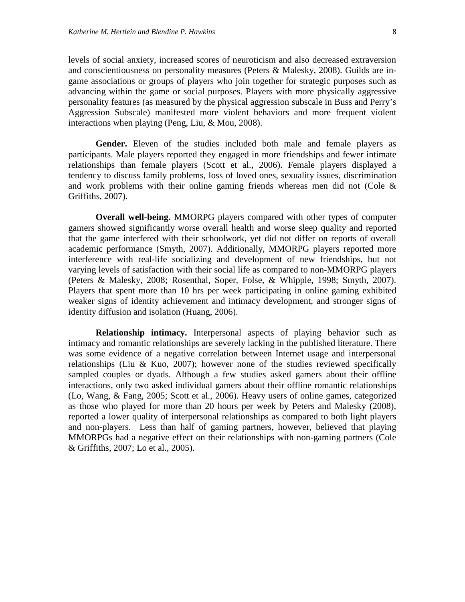levels of social anxiety, increased scores of neuroticism and also decreased extraversion and conscientiousness on personality measures (Peters & Malesky, 2008). Guilds are ingame associations or groups of players who join together for strategic purposes such as advancing within the game or social purposes. Players with more physically aggressive personality features (as measured by the physical aggression subscale in Buss and Perry's Aggression Subscale) manifested more violent behaviors and more frequent violent interactions when playing (Peng, Liu, & Mou, 2008).

**Gender.** Eleven of the studies included both male and female players as participants. Male players reported they engaged in more friendships and fewer intimate relationships than female players (Scott et al., 2006). Female players displayed a tendency to discuss family problems, loss of loved ones, sexuality issues, discrimination and work problems with their online gaming friends whereas men did not (Cole & Griffiths, 2007).

**Overall well-being.** MMORPG players compared with other types of computer gamers showed significantly worse overall health and worse sleep quality and reported that the game interfered with their schoolwork, yet did not differ on reports of overall academic performance (Smyth, 2007). Additionally, MMORPG players reported more interference with real-life socializing and development of new friendships, but not varying levels of satisfaction with their social life as compared to non-MMORPG players (Peters & Malesky, 2008; Rosenthal, Soper, Folse, & Whipple, 1998; Smyth, 2007). Players that spent more than 10 hrs per week participating in online gaming exhibited weaker signs of identity achievement and intimacy development, and stronger signs of identity diffusion and isolation (Huang, 2006).

**Relationship intimacy.** Interpersonal aspects of playing behavior such as intimacy and romantic relationships are severely lacking in the published literature. There was some evidence of a negative correlation between Internet usage and interpersonal relationships (Liu & Kuo, 2007); however none of the studies reviewed specifically sampled couples or dyads. Although a few studies asked gamers about their offline interactions, only two asked individual gamers about their offline romantic relationships (Lo, Wang, & Fang, 2005; Scott et al., 2006). Heavy users of online games, categorized as those who played for more than 20 hours per week by Peters and Malesky (2008), reported a lower quality of interpersonal relationships as compared to both light players and non-players. Less than half of gaming partners, however, believed that playing MMORPGs had a negative effect on their relationships with non-gaming partners (Cole & Griffiths, 2007; Lo et al., 2005).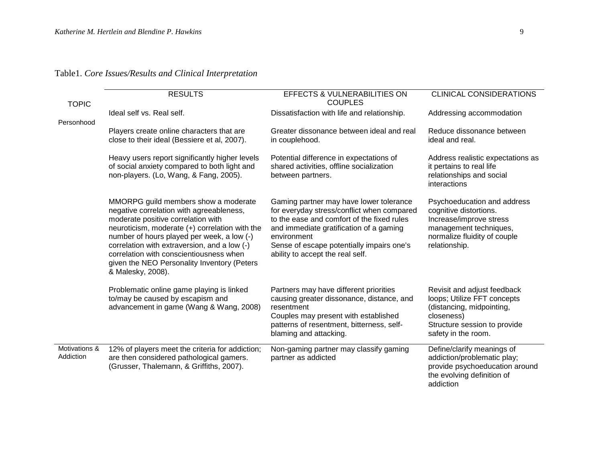Table1. *Core Issues/Results and Clinical Interpretation* 

| <b>TOPIC</b>               | <b>RESULTS</b>                                                                                                                                                                                                                                                                                                                                                                        | <b>EFFECTS &amp; VULNERABILITIES ON</b><br><b>COUPLES</b>                                                                                                                                                                                                                      | <b>CLINICAL CONSIDERATIONS</b>                                                                                                                               |  |
|----------------------------|---------------------------------------------------------------------------------------------------------------------------------------------------------------------------------------------------------------------------------------------------------------------------------------------------------------------------------------------------------------------------------------|--------------------------------------------------------------------------------------------------------------------------------------------------------------------------------------------------------------------------------------------------------------------------------|--------------------------------------------------------------------------------------------------------------------------------------------------------------|--|
| Personhood                 | Ideal self vs. Real self.                                                                                                                                                                                                                                                                                                                                                             | Dissatisfaction with life and relationship.                                                                                                                                                                                                                                    | Addressing accommodation                                                                                                                                     |  |
|                            | Players create online characters that are<br>close to their ideal (Bessiere et al, 2007).                                                                                                                                                                                                                                                                                             | Greater dissonance between ideal and real<br>in couplehood.                                                                                                                                                                                                                    | Reduce dissonance between<br>ideal and real.                                                                                                                 |  |
|                            | Heavy users report significantly higher levels<br>of social anxiety compared to both light and<br>non-players. (Lo, Wang, & Fang, 2005).                                                                                                                                                                                                                                              | Potential difference in expectations of<br>shared activities, offline socialization<br>between partners.                                                                                                                                                                       | Address realistic expectations as<br>it pertains to real life<br>relationships and social<br>interactions                                                    |  |
|                            | MMORPG guild members show a moderate<br>negative correlation with agreeableness,<br>moderate positive correlation with<br>neuroticism, moderate (+) correlation with the<br>number of hours played per week, a low (-)<br>correlation with extraversion, and a low (-)<br>correlation with conscientiousness when<br>given the NEO Personality Inventory (Peters<br>& Malesky, 2008). | Gaming partner may have lower tolerance<br>for everyday stress/conflict when compared<br>to the ease and comfort of the fixed rules<br>and immediate gratification of a gaming<br>environment<br>Sense of escape potentially impairs one's<br>ability to accept the real self. | Psychoeducation and address<br>cognitive distortions.<br>Increase/improve stress<br>management techniques,<br>normalize fluidity of couple<br>relationship.  |  |
|                            | Problematic online game playing is linked<br>to/may be caused by escapism and<br>advancement in game (Wang & Wang, 2008)                                                                                                                                                                                                                                                              | Partners may have different priorities<br>causing greater dissonance, distance, and<br>resentment<br>Couples may present with established<br>patterns of resentment, bitterness, self-<br>blaming and attacking.                                                               | Revisit and adjust feedback<br>loops; Utilize FFT concepts<br>(distancing, midpointing,<br>closeness)<br>Structure session to provide<br>safety in the room. |  |
| Motivations &<br>Addiction | 12% of players meet the criteria for addiction;<br>are then considered pathological gamers.<br>(Grusser, Thalemann, & Griffiths, 2007).                                                                                                                                                                                                                                               | Non-gaming partner may classify gaming<br>partner as addicted                                                                                                                                                                                                                  | Define/clarify meanings of<br>addiction/problematic play;<br>provide psychoeducation around<br>the evolving definition of<br>addiction                       |  |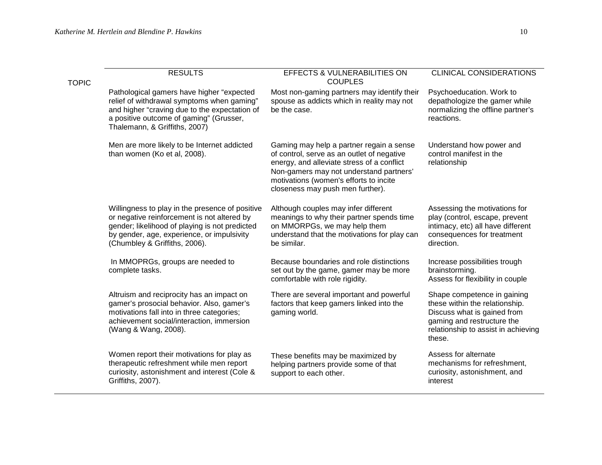| <b>TOPIC</b> | <b>RESULTS</b>                                                                                                                                                                                                                  | <b>EFFECTS &amp; VULNERABILITIES ON</b><br><b>COUPLES</b>                                                                                                                                                                                                     | <b>CLINICAL CONSIDERATIONS</b>                                                                                                                                              |
|--------------|---------------------------------------------------------------------------------------------------------------------------------------------------------------------------------------------------------------------------------|---------------------------------------------------------------------------------------------------------------------------------------------------------------------------------------------------------------------------------------------------------------|-----------------------------------------------------------------------------------------------------------------------------------------------------------------------------|
|              | Pathological gamers have higher "expected<br>relief of withdrawal symptoms when gaming"<br>and higher "craving due to the expectation of<br>a positive outcome of gaming" (Grusser,<br>Thalemann, & Griffiths, 2007)            | Most non-gaming partners may identify their<br>spouse as addicts which in reality may not<br>be the case.                                                                                                                                                     | Psychoeducation. Work to<br>depathologize the gamer while<br>normalizing the offline partner's<br>reactions.                                                                |
|              | Men are more likely to be Internet addicted<br>than women (Ko et al, 2008).                                                                                                                                                     | Gaming may help a partner regain a sense<br>of control, serve as an outlet of negative<br>energy, and alleviate stress of a conflict<br>Non-gamers may not understand partners'<br>motivations (women's efforts to incite<br>closeness may push men further). | Understand how power and<br>control manifest in the<br>relationship                                                                                                         |
|              | Willingness to play in the presence of positive<br>or negative reinforcement is not altered by<br>gender; likelihood of playing is not predicted<br>by gender, age, experience, or impulsivity<br>(Chumbley & Griffiths, 2006). | Although couples may infer different<br>meanings to why their partner spends time<br>on MMORPGs, we may help them<br>understand that the motivations for play can<br>be similar.                                                                              | Assessing the motivations for<br>play (control, escape, prevent<br>intimacy, etc) all have different<br>consequences for treatment<br>direction.                            |
|              | In MMOPRGs, groups are needed to<br>complete tasks.                                                                                                                                                                             | Because boundaries and role distinctions<br>set out by the game, gamer may be more<br>comfortable with role rigidity.                                                                                                                                         | Increase possibilities trough<br>brainstorming.<br>Assess for flexibility in couple                                                                                         |
|              | Altruism and reciprocity has an impact on<br>gamer's prosocial behavior. Also, gamer's<br>motivations fall into in three categories;<br>achievement social/interaction, immersion<br>(Wang & Wang, 2008).                       | There are several important and powerful<br>factors that keep gamers linked into the<br>gaming world.                                                                                                                                                         | Shape competence in gaining<br>these within the relationship.<br>Discuss what is gained from<br>gaming and restructure the<br>relationship to assist in achieving<br>these. |
|              | Women report their motivations for play as<br>therapeutic refreshment while men report<br>curiosity, astonishment and interest (Cole &<br>Griffiths, 2007).                                                                     | These benefits may be maximized by<br>helping partners provide some of that<br>support to each other.                                                                                                                                                         | Assess for alternate<br>mechanisms for refreshment,<br>curiosity, astonishment, and<br>interest                                                                             |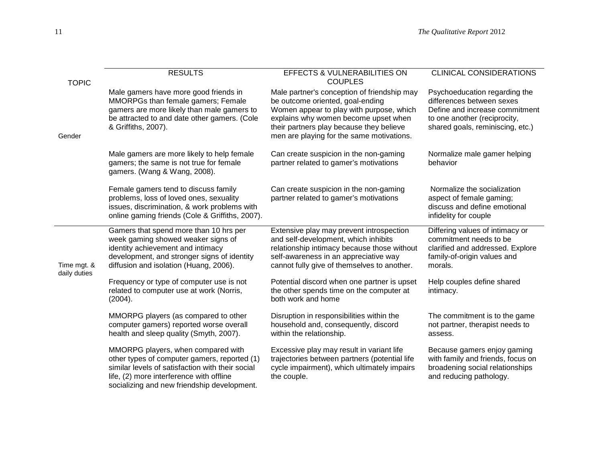| <b>TOPIC</b>                | <b>RESULTS</b>                                                                                                                                                                                                                    | EFFECTS & VULNERABILITIES ON<br><b>COUPLES</b>                                                                                                                                                                                                               | <b>CLINICAL CONSIDERATIONS</b>                                                                                                                                   |  |
|-----------------------------|-----------------------------------------------------------------------------------------------------------------------------------------------------------------------------------------------------------------------------------|--------------------------------------------------------------------------------------------------------------------------------------------------------------------------------------------------------------------------------------------------------------|------------------------------------------------------------------------------------------------------------------------------------------------------------------|--|
| Gender                      | Male gamers have more good friends in<br>MMORPGs than female gamers; Female<br>gamers are more likely than male gamers to<br>be attracted to and date other gamers. (Cole<br>& Griffiths, 2007).                                  | Male partner's conception of friendship may<br>be outcome oriented, goal-ending<br>Women appear to play with purpose, which<br>explains why women become upset when<br>their partners play because they believe<br>men are playing for the same motivations. | Psychoeducation regarding the<br>differences between sexes<br>Define and increase commitment<br>to one another (reciprocity,<br>shared goals, reminiscing, etc.) |  |
|                             | Male gamers are more likely to help female<br>gamers; the same is not true for female<br>gamers. (Wang & Wang, 2008).                                                                                                             | Can create suspicion in the non-gaming<br>partner related to gamer's motivations                                                                                                                                                                             | Normalize male gamer helping<br>behavior                                                                                                                         |  |
|                             | Female gamers tend to discuss family<br>problems, loss of loved ones, sexuality<br>issues, discrimination, & work problems with<br>online gaming friends (Cole & Griffiths, 2007).                                                | Can create suspicion in the non-gaming<br>partner related to gamer's motivations                                                                                                                                                                             | Normalize the socialization<br>aspect of female gaming;<br>discuss and define emotional<br>infidelity for couple                                                 |  |
| Time mgt. &<br>daily duties | Gamers that spend more than 10 hrs per<br>week gaming showed weaker signs of<br>identity achievement and intimacy<br>development, and stronger signs of identity<br>diffusion and isolation (Huang, 2006).                        | Extensive play may prevent introspection<br>and self-development, which inhibits<br>relationship intimacy because those without<br>self-awareness in an appreciative way<br>cannot fully give of themselves to another.                                      | Differing values of intimacy or<br>commitment needs to be<br>clarified and addressed. Explore<br>family-of-origin values and<br>morals.                          |  |
|                             | Frequency or type of computer use is not<br>related to computer use at work (Norris,<br>(2004).                                                                                                                                   | Potential discord when one partner is upset<br>the other spends time on the computer at<br>both work and home                                                                                                                                                | Help couples define shared<br>intimacy.                                                                                                                          |  |
|                             | MMORPG players (as compared to other<br>computer gamers) reported worse overall<br>health and sleep quality (Smyth, 2007).                                                                                                        | Disruption in responsibilities within the<br>household and, consequently, discord<br>within the relationship.                                                                                                                                                | The commitment is to the game<br>not partner, therapist needs to<br>assess.                                                                                      |  |
|                             | MMORPG players, when compared with<br>other types of computer gamers, reported (1)<br>similar levels of satisfaction with their social<br>life, (2) more interference with offline<br>socializing and new friendship development. | Excessive play may result in variant life<br>trajectories between partners (potential life<br>cycle impairment), which ultimately impairs<br>the couple.                                                                                                     | Because gamers enjoy gaming<br>with family and friends, focus on<br>broadening social relationships<br>and reducing pathology.                                   |  |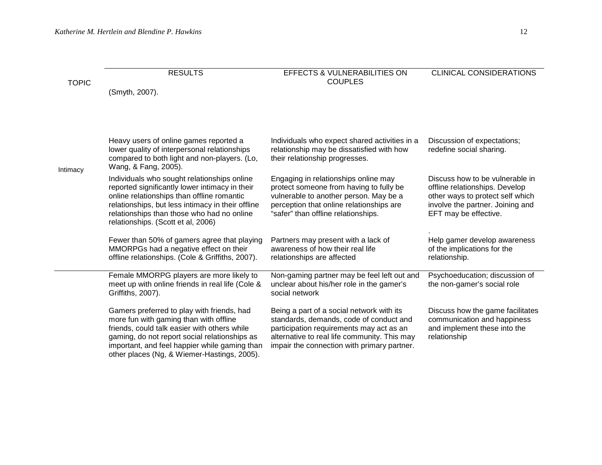| <b>TOPIC</b> | <b>RESULTS</b>                                                                                                                                                                                                                                                                        | <b>EFFECTS &amp; VULNERABILITIES ON</b><br><b>COUPLES</b>                                                                                                                                                                       | <b>CLINICAL CONSIDERATIONS</b>                                                                                                                                     |  |
|--------------|---------------------------------------------------------------------------------------------------------------------------------------------------------------------------------------------------------------------------------------------------------------------------------------|---------------------------------------------------------------------------------------------------------------------------------------------------------------------------------------------------------------------------------|--------------------------------------------------------------------------------------------------------------------------------------------------------------------|--|
|              | (Smyth, 2007).                                                                                                                                                                                                                                                                        |                                                                                                                                                                                                                                 |                                                                                                                                                                    |  |
|              | Heavy users of online games reported a                                                                                                                                                                                                                                                | Individuals who expect shared activities in a                                                                                                                                                                                   | Discussion of expectations;                                                                                                                                        |  |
| Intimacy     | lower quality of interpersonal relationships<br>compared to both light and non-players. (Lo,<br>Wang, & Fang, 2005).                                                                                                                                                                  | relationship may be dissatisfied with how<br>their relationship progresses.                                                                                                                                                     | redefine social sharing.                                                                                                                                           |  |
|              | Individuals who sought relationships online<br>reported significantly lower intimacy in their<br>online relationships than offline romantic<br>relationships, but less intimacy in their offline<br>relationships than those who had no online<br>relationships. (Scott et al, 2006)  | Engaging in relationships online may<br>protect someone from having to fully be<br>vulnerable to another person. May be a<br>perception that online relationships are<br>"safer" than offline relationships.                    | Discuss how to be vulnerable in<br>offline relationships. Develop<br>other ways to protect self which<br>involve the partner. Joining and<br>EFT may be effective. |  |
|              | Fewer than 50% of gamers agree that playing<br>MMORPGs had a negative effect on their<br>offline relationships. (Cole & Griffiths, 2007).                                                                                                                                             | Partners may present with a lack of<br>awareness of how their real life<br>relationships are affected                                                                                                                           | Help gamer develop awareness<br>of the implications for the<br>relationship.                                                                                       |  |
|              | Female MMORPG players are more likely to<br>meet up with online friends in real life (Cole &<br>Griffiths, 2007).                                                                                                                                                                     | Non-gaming partner may be feel left out and<br>unclear about his/her role in the gamer's<br>social network                                                                                                                      | Psychoeducation; discussion of<br>the non-gamer's social role                                                                                                      |  |
|              | Gamers preferred to play with friends, had<br>more fun with gaming than with offline<br>friends, could talk easier with others while<br>gaming, do not report social relationships as<br>important, and feel happier while gaming than<br>other places (Ng, & Wiemer-Hastings, 2005). | Being a part of a social network with its<br>standards, demands, code of conduct and<br>participation requirements may act as an<br>alternative to real life community. This may<br>impair the connection with primary partner. | Discuss how the game facilitates<br>communication and happiness<br>and implement these into the<br>relationship                                                    |  |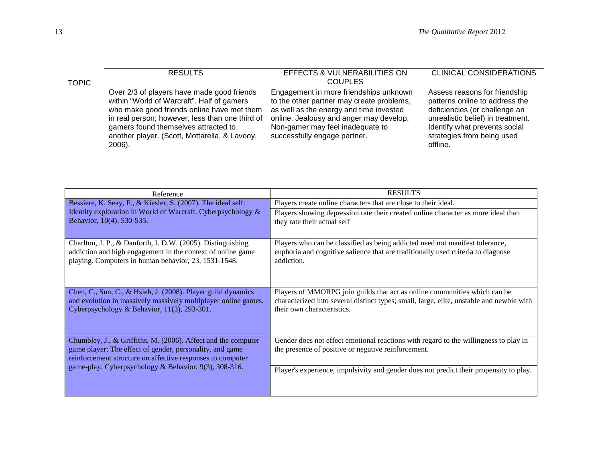| <b>TOPIC</b> | <b>RESULTS</b>                                                                                                                                                                                                                                                                               | <b>EFFECTS &amp; VULNERABILITIES ON</b><br><b>COUPLES</b>                                                                                                                                                                                     | <b>CLINICAL CONSIDERATIONS</b>                                                                                                                                                                                   |
|--------------|----------------------------------------------------------------------------------------------------------------------------------------------------------------------------------------------------------------------------------------------------------------------------------------------|-----------------------------------------------------------------------------------------------------------------------------------------------------------------------------------------------------------------------------------------------|------------------------------------------------------------------------------------------------------------------------------------------------------------------------------------------------------------------|
|              | Over 2/3 of players have made good friends<br>within "World of Warcraft". Half of gamers<br>who make good friends online have met them<br>in real person; however, less than one third of<br>gamers found themselves attracted to<br>another player. (Scott, Mottarella, & Lavooy,<br>2006). | Engagement in more friendships unknown<br>to the other partner may create problems,<br>as well as the energy and time invested<br>online. Jealousy and anger may develop.<br>Non-gamer may feel inadequate to<br>successfully engage partner. | Assess reasons for friendship<br>patterns online to address the<br>deficiencies (or challenge an<br>unrealistic belief) in treatment.<br>Identify what prevents social<br>strategies from being used<br>offline. |

| Reference                                                                                                                                                                               | <b>RESULTS</b>                                                                                                                                                                                      |
|-----------------------------------------------------------------------------------------------------------------------------------------------------------------------------------------|-----------------------------------------------------------------------------------------------------------------------------------------------------------------------------------------------------|
| Bessiere, K. Seay, F., & Kiesler, S. (2007). The ideal self:                                                                                                                            | Players create online characters that are close to their ideal.                                                                                                                                     |
| Identity exploration in World of Warcraft. Cyberpsychology &<br>Behavior, 10(4), 530-535.                                                                                               | Players showing depression rate their created online character as more ideal than<br>they rate their actual self                                                                                    |
|                                                                                                                                                                                         |                                                                                                                                                                                                     |
| Charlton, J. P., & Danforth, I. D.W. (2005). Distinguishing<br>addiction and high engagement in the context of online game<br>playing. Computers in human behavior, 23, 1531-1548.      | Players who can be classified as being addicted need not manifest tolerance,<br>euphoria and cognitive salience that are traditionally used criteria to diagnose<br>addiction.                      |
| Chen, C., Sun, C., & Hsieh, J. (2008). Player guild dynamics<br>and evolution in massively massively multiplayer online games.<br>Cyberpsychology & Behavior, 11(3), 293-301.           | Players of MMORPG join guilds that act as online communities which can be<br>characterized into several distinct types; small, large, elite, unstable and newbie with<br>their own characteristics. |
| Chumbley, J., & Griffiths, M. (2006). Affect and the computer<br>game player: The effect of gender, personality, and game<br>reinforcement structure on affective responses to computer | Gender does not effect emotional reactions with regard to the willingness to play in<br>the presence of positive or negative reinforcement.                                                         |
| game-play. Cyberpsychology & Behavior, 9(3), 308-316.                                                                                                                                   | Player's experience, impulsivity and gender does not predict their propensity to play.                                                                                                              |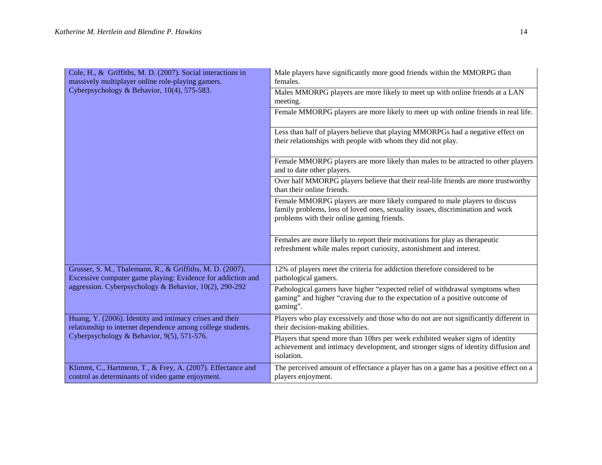| Cole, H., & Griffiths, M. D. (2007). Social interactions in<br>massively multiplayer online role-playing gamers.         | Male players have significantly more good friends within the MMORPG than<br>females.                                                                                                                      |  |  |  |
|--------------------------------------------------------------------------------------------------------------------------|-----------------------------------------------------------------------------------------------------------------------------------------------------------------------------------------------------------|--|--|--|
| Cyberpsychology & Behavior, 10(4), 575-583.                                                                              | Males MMORPG players are more likely to meet up with online friends at a LAN<br>meeting.                                                                                                                  |  |  |  |
|                                                                                                                          | Female MMORPG players are more likely to meet up with online friends in real life.                                                                                                                        |  |  |  |
|                                                                                                                          | Less than half of players believe that playing MMORPGs had a negative effect on<br>their relationships with people with whom they did not play.                                                           |  |  |  |
|                                                                                                                          | Female MMORPG players are more likely than males to be attracted to other players<br>and to date other players.                                                                                           |  |  |  |
|                                                                                                                          | Over half MMORPG players believe that their real-life friends are more trustworthy<br>than their online friends.                                                                                          |  |  |  |
|                                                                                                                          | Female MMORPG players are more likely compared to male players to discuss<br>family problems, loss of loved ones, sexuality issues, discrimination and work<br>problems with their online gaming friends. |  |  |  |
|                                                                                                                          | Females are more likely to report their motivations for play as the rapeutic<br>refreshment while males report curiosity, astonishment and interest.                                                      |  |  |  |
| Grusser, S. M., Thalemann, R., & Griffiths, M. D. (2007).<br>Excessive computer game playing: Evidence for addiction and | 12% of players meet the criteria for addiction therefore considered to be<br>pathological gamers.                                                                                                         |  |  |  |
| aggression. Cyberpsychology & Behavior, 10(2), 290-292                                                                   | Pathological gamers have higher "expected relief of withdrawal symptoms when<br>gaming" and higher "craving due to the expectation of a positive outcome of<br>gaming".                                   |  |  |  |
| Huang, Y. (2006). Identity and intimacy crises and their<br>relationship to internet dependence among college students.  | Players who play excessively and those who do not are not significantly different in<br>their decision-making abilities.                                                                                  |  |  |  |
| Cyberpsychology & Behavior, 9(5), 571-576.                                                                               | Players that spend more than 10hrs per week exhibited weaker signs of identity<br>achievement and intimacy development, and stronger signs of identity diffusion and<br>isolation.                        |  |  |  |
| Klimmt, C., Hartmenn, T., & Frey, A. (2007). Effectance and<br>control as determinants of video game enjoyment.          | The perceived amount of effectance a player has on a game has a positive effect on a<br>players enjoyment.                                                                                                |  |  |  |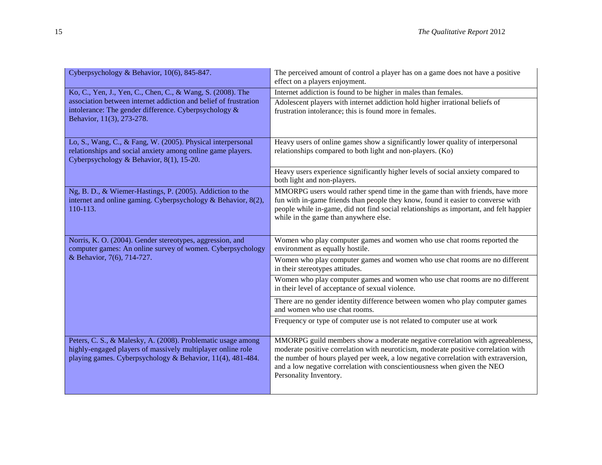| Cyberpsychology & Behavior, 10(6), 845-847.                                                                                                                                               | The perceived amount of control a player has on a game does not have a positive<br>effect on a players enjoyment.                                                                                                                                                                                                                                               |
|-------------------------------------------------------------------------------------------------------------------------------------------------------------------------------------------|-----------------------------------------------------------------------------------------------------------------------------------------------------------------------------------------------------------------------------------------------------------------------------------------------------------------------------------------------------------------|
| Ko, C., Yen, J., Yen, C., Chen, C., & Wang, S. (2008). The                                                                                                                                | Internet addiction is found to be higher in males than females.                                                                                                                                                                                                                                                                                                 |
| association between internet addiction and belief of frustration<br>intolerance: The gender difference. Cyberpsychology &<br>Behavior, 11(3), 273-278.                                    | Adolescent players with internet addiction hold higher irrational beliefs of<br>frustration intolerance; this is found more in females.                                                                                                                                                                                                                         |
| Lo, S., Wang, C., & Fang, W. (2005). Physical interpersonal<br>relationships and social anxiety among online game players.<br>Cyberpsychology & Behavior, 8(1), 15-20.                    | Heavy users of online games show a significantly lower quality of interpersonal<br>relationships compared to both light and non-players. (Ko)                                                                                                                                                                                                                   |
|                                                                                                                                                                                           | Heavy users experience significantly higher levels of social anxiety compared to<br>both light and non-players.                                                                                                                                                                                                                                                 |
| Ng, B. D., & Wiemer-Hastings, P. (2005). Addiction to the<br>internet and online gaming. Cyberpsychology & Behavior, 8(2),<br>110-113.                                                    | MMORPG users would rather spend time in the game than with friends, have more<br>fun with in-game friends than people they know, found it easier to converse with<br>people while in-game, did not find social relationships as important, and felt happier<br>while in the game than anywhere else.                                                            |
| Norris, K. O. (2004). Gender stereotypes, aggression, and<br>computer games: An online survey of women. Cyberpsychology                                                                   | Women who play computer games and women who use chat rooms reported the<br>environment as equally hostile.                                                                                                                                                                                                                                                      |
| & Behavior, 7(6), 714-727.                                                                                                                                                                | Women who play computer games and women who use chat rooms are no different<br>in their stereotypes attitudes.                                                                                                                                                                                                                                                  |
|                                                                                                                                                                                           | Women who play computer games and women who use chat rooms are no different<br>in their level of acceptance of sexual violence.                                                                                                                                                                                                                                 |
|                                                                                                                                                                                           | There are no gender identity difference between women who play computer games<br>and women who use chat rooms.                                                                                                                                                                                                                                                  |
|                                                                                                                                                                                           | Frequency or type of computer use is not related to computer use at work                                                                                                                                                                                                                                                                                        |
| Peters, C. S., & Malesky, A. (2008). Problematic usage among<br>highly-engaged players of massively multiplayer online role<br>playing games. Cyberpsychology & Behavior, 11(4), 481-484. | MMORPG guild members show a moderate negative correlation with agreeableness,<br>moderate positive correlation with neuroticism, moderate positive correlation with<br>the number of hours played per week, a low negative correlation with extraversion,<br>and a low negative correlation with conscientiousness when given the NEO<br>Personality Inventory. |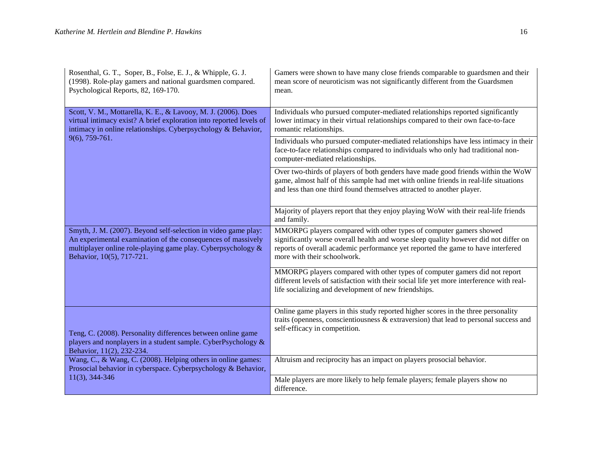| Rosenthal, G. T., Soper, B., Folse, E. J., & Whipple, G. J.<br>(1998). Role-play gamers and national guardsmen compared.<br>Psychological Reports, 82, 169-170.                                                             | Gamers were shown to have many close friends comparable to guardsmen and their<br>mean score of neuroticism was not significantly different from the Guardsmen<br>mean.                                                                                                       |
|-----------------------------------------------------------------------------------------------------------------------------------------------------------------------------------------------------------------------------|-------------------------------------------------------------------------------------------------------------------------------------------------------------------------------------------------------------------------------------------------------------------------------|
| Scott, V. M., Mottarella, K. E., & Lavooy, M. J. (2006). Does<br>virtual intimacy exist? A brief exploration into reported levels of<br>intimacy in online relationships. Cyberpsychology & Behavior,                       | Individuals who pursued computer-mediated relationships reported significantly<br>lower intimacy in their virtual relationships compared to their own face-to-face<br>romantic relationships.                                                                                 |
| 9(6), 759-761.                                                                                                                                                                                                              | Individuals who pursued computer-mediated relationships have less intimacy in their<br>face-to-face relationships compared to individuals who only had traditional non-<br>computer-mediated relationships.                                                                   |
|                                                                                                                                                                                                                             | Over two-thirds of players of both genders have made good friends within the WoW<br>game, almost half of this sample had met with online friends in real-life situations<br>and less than one third found themselves attracted to another player.                             |
|                                                                                                                                                                                                                             | Majority of players report that they enjoy playing WoW with their real-life friends<br>and family.                                                                                                                                                                            |
| Smyth, J. M. (2007). Beyond self-selection in video game play:<br>An experimental examination of the consequences of massively<br>multiplayer online role-playing game play. Cyberpsychology &<br>Behavior, 10(5), 717-721. | MMORPG players compared with other types of computer gamers showed<br>significantly worse overall health and worse sleep quality however did not differ on<br>reports of overall academic performance yet reported the game to have interfered<br>more with their schoolwork. |
|                                                                                                                                                                                                                             | MMORPG players compared with other types of computer gamers did not report<br>different levels of satisfaction with their social life yet more interference with real-<br>life socializing and development of new friendships.                                                |
| Teng, C. (2008). Personality differences between online game<br>players and nonplayers in a student sample. CyberPsychology &<br>Behavior, 11(2), 232-234.                                                                  | Online game players in this study reported higher scores in the three personality<br>traits (openness, conscientiousness $\&$ extraversion) that lead to personal success and<br>self-efficacy in competition.                                                                |
| Wang, C., & Wang, C. (2008). Helping others in online games:<br>Prosocial behavior in cyberspace. Cyberpsychology & Behavior,                                                                                               | Altruism and reciprocity has an impact on players prosocial behavior.                                                                                                                                                                                                         |
| 11(3), 344-346                                                                                                                                                                                                              | Male players are more likely to help female players; female players show no<br>difference.                                                                                                                                                                                    |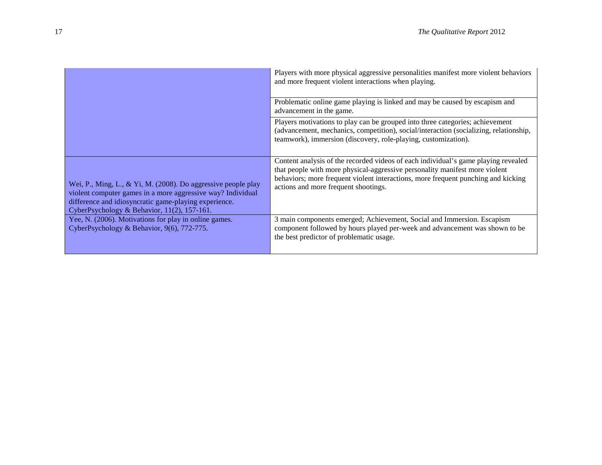|                                                                                                                                                                                                                                      | Players with more physical aggressive personalities manifest more violent behaviors<br>and more frequent violent interactions when playing.                                                                                                                                                    |
|--------------------------------------------------------------------------------------------------------------------------------------------------------------------------------------------------------------------------------------|------------------------------------------------------------------------------------------------------------------------------------------------------------------------------------------------------------------------------------------------------------------------------------------------|
|                                                                                                                                                                                                                                      | Problematic online game playing is linked and may be caused by escapism and<br>advancement in the game.                                                                                                                                                                                        |
|                                                                                                                                                                                                                                      | Players motivations to play can be grouped into three categories; achievement<br>(advancement, mechanics, competition), social/interaction (socializing, relationship,<br>teamwork), immersion (discovery, role-playing, customization).                                                       |
| Wei, P., Ming, L., & Yi, M. (2008). Do aggressive people play<br>violent computer games in a more aggressive way? Individual<br>difference and idiosyncratic game-playing experience.<br>CyberPsychology & Behavior, 11(2), 157-161. | Content analysis of the recorded videos of each individual's game playing revealed<br>that people with more physical-aggressive personality manifest more violent<br>behaviors; more frequent violent interactions, more frequent punching and kicking<br>actions and more frequent shootings. |
| Yee, N. (2006). Motivations for play in online games.<br>CyberPsychology & Behavior, 9(6), 772-775.                                                                                                                                  | 3 main components emerged; Achievement, Social and Immersion. Escapism<br>component followed by hours played per-week and advancement was shown to be<br>the best predictor of problematic usage.                                                                                              |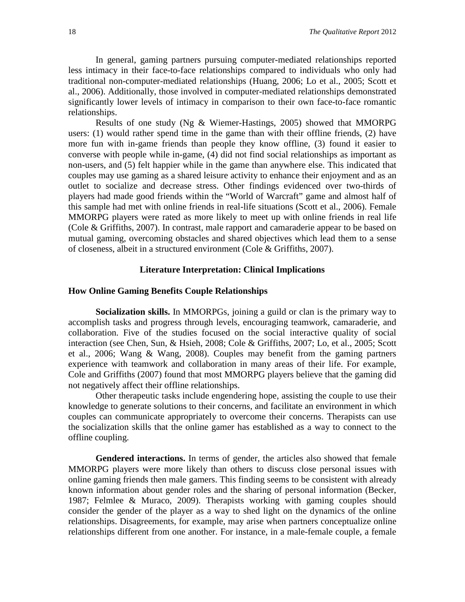In general, gaming partners pursuing computer-mediated relationships reported less intimacy in their face-to-face relationships compared to individuals who only had traditional non-computer-mediated relationships (Huang, 2006; Lo et al., 2005; Scott et al., 2006). Additionally, those involved in computer-mediated relationships demonstrated significantly lower levels of intimacy in comparison to their own face-to-face romantic relationships.

Results of one study (Ng & Wiemer-Hastings, 2005) showed that MMORPG users: (1) would rather spend time in the game than with their offline friends, (2) have more fun with in-game friends than people they know offline, (3) found it easier to converse with people while in-game, (4) did not find social relationships as important as non-users, and (5) felt happier while in the game than anywhere else. This indicated that couples may use gaming as a shared leisure activity to enhance their enjoyment and as an outlet to socialize and decrease stress. Other findings evidenced over two-thirds of players had made good friends within the "World of Warcraft" game and almost half of this sample had met with online friends in real-life situations (Scott et al., 2006). Female MMORPG players were rated as more likely to meet up with online friends in real life (Cole & Griffiths, 2007). In contrast, male rapport and camaraderie appear to be based on mutual gaming, overcoming obstacles and shared objectives which lead them to a sense of closeness, albeit in a structured environment (Cole & Griffiths, 2007).

#### **Literature Interpretation: Clinical Implications**

#### **How Online Gaming Benefits Couple Relationships**

**Socialization skills.** In MMORPGs, joining a guild or clan is the primary way to accomplish tasks and progress through levels, encouraging teamwork, camaraderie, and collaboration. Five of the studies focused on the social interactive quality of social interaction (see Chen, Sun, & Hsieh, 2008; Cole & Griffiths, 2007; Lo, et al., 2005; Scott et al., 2006; Wang & Wang, 2008). Couples may benefit from the gaming partners experience with teamwork and collaboration in many areas of their life. For example, Cole and Griffiths (2007) found that most MMORPG players believe that the gaming did not negatively affect their offline relationships.

Other therapeutic tasks include engendering hope, assisting the couple to use their knowledge to generate solutions to their concerns, and facilitate an environment in which couples can communicate appropriately to overcome their concerns. Therapists can use the socialization skills that the online gamer has established as a way to connect to the offline coupling.

**Gendered interactions.** In terms of gender, the articles also showed that female MMORPG players were more likely than others to discuss close personal issues with online gaming friends then male gamers. This finding seems to be consistent with already known information about gender roles and the sharing of personal information (Becker, 1987; Felmlee & Muraco, 2009). Therapists working with gaming couples should consider the gender of the player as a way to shed light on the dynamics of the online relationships. Disagreements, for example, may arise when partners conceptualize online relationships different from one another. For instance, in a male-female couple, a female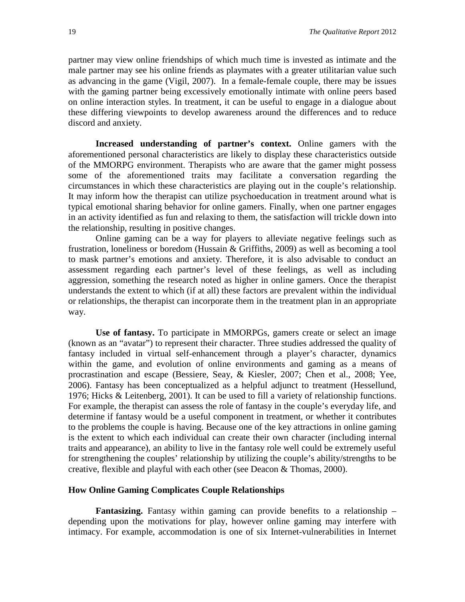partner may view online friendships of which much time is invested as intimate and the male partner may see his online friends as playmates with a greater utilitarian value such as advancing in the game (Vigil, 2007). In a female-female couple, there may be issues with the gaming partner being excessively emotionally intimate with online peers based on online interaction styles. In treatment, it can be useful to engage in a dialogue about these differing viewpoints to develop awareness around the differences and to reduce discord and anxiety.

**Increased understanding of partner's context.** Online gamers with the aforementioned personal characteristics are likely to display these characteristics outside of the MMORPG environment. Therapists who are aware that the gamer might possess some of the aforementioned traits may facilitate a conversation regarding the circumstances in which these characteristics are playing out in the couple's relationship. It may inform how the therapist can utilize psychoeducation in treatment around what is typical emotional sharing behavior for online gamers. Finally, when one partner engages in an activity identified as fun and relaxing to them, the satisfaction will trickle down into the relationship, resulting in positive changes.

Online gaming can be a way for players to alleviate negative feelings such as frustration, loneliness or boredom (Hussain & Griffiths, 2009) as well as becoming a tool to mask partner's emotions and anxiety. Therefore, it is also advisable to conduct an assessment regarding each partner's level of these feelings, as well as including aggression, something the research noted as higher in online gamers. Once the therapist understands the extent to which (if at all) these factors are prevalent within the individual or relationships, the therapist can incorporate them in the treatment plan in an appropriate way.

**Use of fantasy.** To participate in MMORPGs, gamers create or select an image (known as an "avatar") to represent their character. Three studies addressed the quality of fantasy included in virtual self-enhancement through a player's character, dynamics within the game, and evolution of online environments and gaming as a means of procrastination and escape (Bessiere, Seay, & Kiesler, 2007; Chen et al., 2008; Yee, 2006). Fantasy has been conceptualized as a helpful adjunct to treatment (Hessellund, 1976; Hicks & Leitenberg, 2001). It can be used to fill a variety of relationship functions. For example, the therapist can assess the role of fantasy in the couple's everyday life, and determine if fantasy would be a useful component in treatment, or whether it contributes to the problems the couple is having. Because one of the key attractions in online gaming is the extent to which each individual can create their own character (including internal traits and appearance), an ability to live in the fantasy role well could be extremely useful for strengthening the couples' relationship by utilizing the couple's ability/strengths to be creative, flexible and playful with each other (see Deacon & Thomas, 2000).

#### **How Online Gaming Complicates Couple Relationships**

**Fantasizing.** Fantasy within gaming can provide benefits to a relationship – depending upon the motivations for play, however online gaming may interfere with intimacy. For example, accommodation is one of six Internet-vulnerabilities in Internet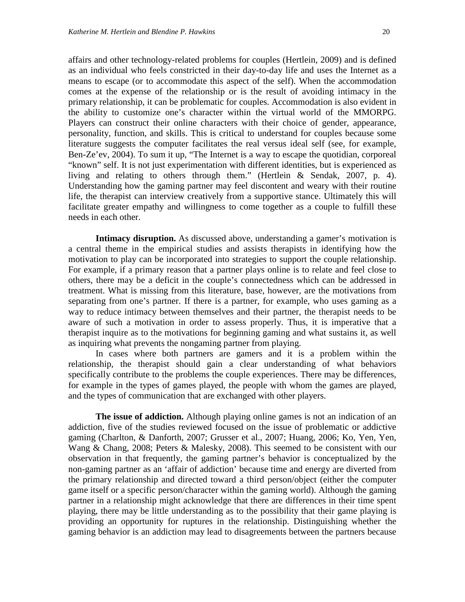affairs and other technology-related problems for couples (Hertlein, 2009) and is defined as an individual who feels constricted in their day-to-day life and uses the Internet as a means to escape (or to accommodate this aspect of the self). When the accommodation comes at the expense of the relationship or is the result of avoiding intimacy in the primary relationship, it can be problematic for couples. Accommodation is also evident in the ability to customize one's character within the virtual world of the MMORPG. Players can construct their online characters with their choice of gender, appearance, personality, function, and skills. This is critical to understand for couples because some literature suggests the computer facilitates the real versus ideal self (see, for example, Ben-Ze'ev, 2004). To sum it up, "The Internet is a way to escape the quotidian, corporeal "known" self. It is not just experimentation with different identities, but is experienced as living and relating to others through them." (Hertlein & Sendak, 2007, p. 4). Understanding how the gaming partner may feel discontent and weary with their routine life, the therapist can interview creatively from a supportive stance. Ultimately this will facilitate greater empathy and willingness to come together as a couple to fulfill these needs in each other.

**Intimacy disruption.** As discussed above, understanding a gamer's motivation is a central theme in the empirical studies and assists therapists in identifying how the motivation to play can be incorporated into strategies to support the couple relationship. For example, if a primary reason that a partner plays online is to relate and feel close to others, there may be a deficit in the couple's connectedness which can be addressed in treatment. What is missing from this literature, base, however, are the motivations from separating from one's partner. If there is a partner, for example, who uses gaming as a way to reduce intimacy between themselves and their partner, the therapist needs to be aware of such a motivation in order to assess properly. Thus, it is imperative that a therapist inquire as to the motivations for beginning gaming and what sustains it, as well as inquiring what prevents the nongaming partner from playing.

In cases where both partners are gamers and it is a problem within the relationship, the therapist should gain a clear understanding of what behaviors specifically contribute to the problems the couple experiences. There may be differences, for example in the types of games played, the people with whom the games are played, and the types of communication that are exchanged with other players.

**The issue of addiction.** Although playing online games is not an indication of an addiction, five of the studies reviewed focused on the issue of problematic or addictive gaming (Charlton, & Danforth, 2007; Grusser et al., 2007; Huang, 2006; Ko, Yen, Yen, Wang & Chang, 2008; Peters & Malesky, 2008). This seemed to be consistent with our observation in that frequently, the gaming partner's behavior is conceptualized by the non-gaming partner as an 'affair of addiction' because time and energy are diverted from the primary relationship and directed toward a third person/object (either the computer game itself or a specific person/character within the gaming world). Although the gaming partner in a relationship might acknowledge that there are differences in their time spent playing, there may be little understanding as to the possibility that their game playing is providing an opportunity for ruptures in the relationship. Distinguishing whether the gaming behavior is an addiction may lead to disagreements between the partners because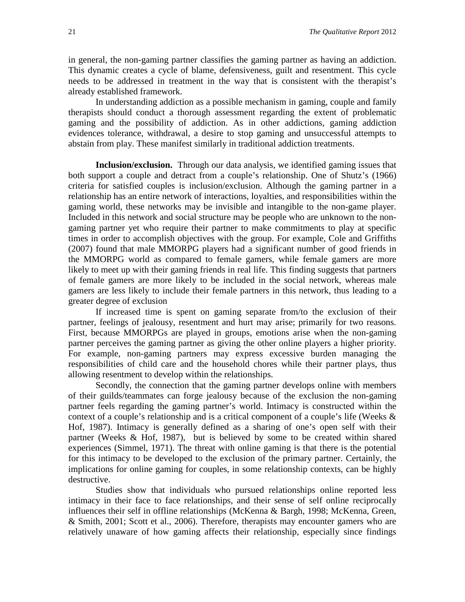in general, the non-gaming partner classifies the gaming partner as having an addiction. This dynamic creates a cycle of blame, defensiveness, guilt and resentment. This cycle needs to be addressed in treatment in the way that is consistent with the therapist's already established framework.

In understanding addiction as a possible mechanism in gaming, couple and family therapists should conduct a thorough assessment regarding the extent of problematic gaming and the possibility of addiction. As in other addictions, gaming addiction evidences tolerance, withdrawal, a desire to stop gaming and unsuccessful attempts to abstain from play. These manifest similarly in traditional addiction treatments.

**Inclusion/exclusion.** Through our data analysis, we identified gaming issues that both support a couple and detract from a couple's relationship. One of Shutz's (1966) criteria for satisfied couples is inclusion/exclusion. Although the gaming partner in a relationship has an entire network of interactions, loyalties, and responsibilities within the gaming world, these networks may be invisible and intangible to the non-game player. Included in this network and social structure may be people who are unknown to the nongaming partner yet who require their partner to make commitments to play at specific times in order to accomplish objectives with the group. For example, Cole and Griffiths (2007) found that male MMORPG players had a significant number of good friends in the MMORPG world as compared to female gamers, while female gamers are more likely to meet up with their gaming friends in real life. This finding suggests that partners of female gamers are more likely to be included in the social network, whereas male gamers are less likely to include their female partners in this network, thus leading to a greater degree of exclusion

If increased time is spent on gaming separate from/to the exclusion of their partner, feelings of jealousy, resentment and hurt may arise; primarily for two reasons. First, because MMORPGs are played in groups, emotions arise when the non-gaming partner perceives the gaming partner as giving the other online players a higher priority. For example, non-gaming partners may express excessive burden managing the responsibilities of child care and the household chores while their partner plays, thus allowing resentment to develop within the relationships.

Secondly, the connection that the gaming partner develops online with members of their guilds/teammates can forge jealousy because of the exclusion the non-gaming partner feels regarding the gaming partner's world. Intimacy is constructed within the context of a couple's relationship and is a critical component of a couple's life (Weeks  $\&$ Hof, 1987). Intimacy is generally defined as a sharing of one's open self with their partner (Weeks & Hof, 1987), but is believed by some to be created within shared experiences (Simmel, 1971). The threat with online gaming is that there is the potential for this intimacy to be developed to the exclusion of the primary partner. Certainly, the implications for online gaming for couples, in some relationship contexts, can be highly destructive.

Studies show that individuals who pursued relationships online reported less intimacy in their face to face relationships, and their sense of self online reciprocally influences their self in offline relationships (McKenna & Bargh, 1998; McKenna, Green, & Smith, 2001; Scott et al., 2006). Therefore, therapists may encounter gamers who are relatively unaware of how gaming affects their relationship, especially since findings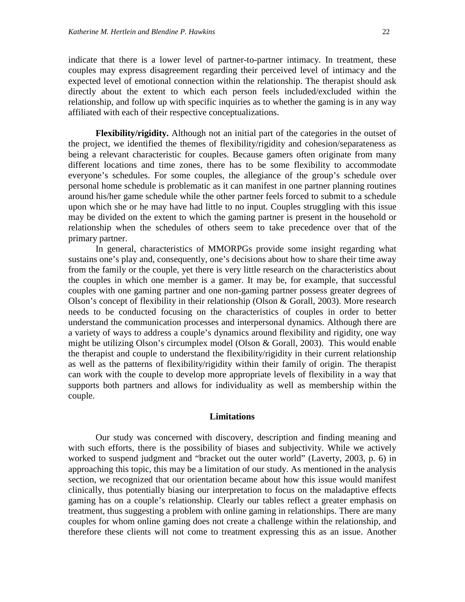indicate that there is a lower level of partner-to-partner intimacy. In treatment, these couples may express disagreement regarding their perceived level of intimacy and the expected level of emotional connection within the relationship. The therapist should ask directly about the extent to which each person feels included/excluded within the relationship, and follow up with specific inquiries as to whether the gaming is in any way affiliated with each of their respective conceptualizations.

**Flexibility/rigidity.** Although not an initial part of the categories in the outset of the project, we identified the themes of flexibility/rigidity and cohesion/separateness as being a relevant characteristic for couples. Because gamers often originate from many different locations and time zones, there has to be some flexibility to accommodate everyone's schedules. For some couples, the allegiance of the group's schedule over personal home schedule is problematic as it can manifest in one partner planning routines around his/her game schedule while the other partner feels forced to submit to a schedule upon which she or he may have had little to no input. Couples struggling with this issue may be divided on the extent to which the gaming partner is present in the household or relationship when the schedules of others seem to take precedence over that of the primary partner.

In general, characteristics of MMORPGs provide some insight regarding what sustains one's play and, consequently, one's decisions about how to share their time away from the family or the couple, yet there is very little research on the characteristics about the couples in which one member is a gamer. It may be, for example, that successful couples with one gaming partner and one non-gaming partner possess greater degrees of Olson's concept of flexibility in their relationship (Olson & Gorall, 2003). More research needs to be conducted focusing on the characteristics of couples in order to better understand the communication processes and interpersonal dynamics. Although there are a variety of ways to address a couple's dynamics around flexibility and rigidity, one way might be utilizing Olson's circumplex model (Olson & Gorall, 2003). This would enable the therapist and couple to understand the flexibility/rigidity in their current relationship as well as the patterns of flexibility/rigidity within their family of origin. The therapist can work with the couple to develop more appropriate levels of flexibility in a way that supports both partners and allows for individuality as well as membership within the couple.

#### **Limitations**

Our study was concerned with discovery, description and finding meaning and with such efforts, there is the possibility of biases and subjectivity. While we actively worked to suspend judgment and "bracket out the outer world" (Laverty, 2003, p. 6) in approaching this topic, this may be a limitation of our study. As mentioned in the analysis section, we recognized that our orientation became about how this issue would manifest clinically, thus potentially biasing our interpretation to focus on the maladaptive effects gaming has on a couple's relationship. Clearly our tables reflect a greater emphasis on treatment, thus suggesting a problem with online gaming in relationships. There are many couples for whom online gaming does not create a challenge within the relationship, and therefore these clients will not come to treatment expressing this as an issue. Another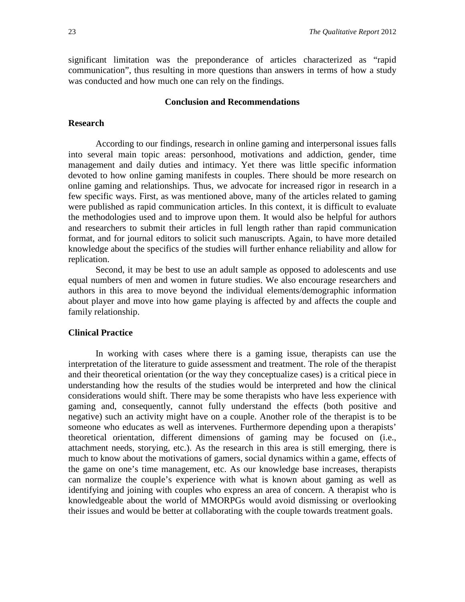significant limitation was the preponderance of articles characterized as "rapid communication", thus resulting in more questions than answers in terms of how a study was conducted and how much one can rely on the findings.

#### **Conclusion and Recommendations**

#### **Research**

According to our findings, research in online gaming and interpersonal issues falls into several main topic areas: personhood, motivations and addiction, gender, time management and daily duties and intimacy. Yet there was little specific information devoted to how online gaming manifests in couples. There should be more research on online gaming and relationships. Thus, we advocate for increased rigor in research in a few specific ways. First, as was mentioned above, many of the articles related to gaming were published as rapid communication articles. In this context, it is difficult to evaluate the methodologies used and to improve upon them. It would also be helpful for authors and researchers to submit their articles in full length rather than rapid communication format, and for journal editors to solicit such manuscripts. Again, to have more detailed knowledge about the specifics of the studies will further enhance reliability and allow for replication.

Second, it may be best to use an adult sample as opposed to adolescents and use equal numbers of men and women in future studies. We also encourage researchers and authors in this area to move beyond the individual elements/demographic information about player and move into how game playing is affected by and affects the couple and family relationship.

#### **Clinical Practice**

In working with cases where there is a gaming issue, therapists can use the interpretation of the literature to guide assessment and treatment. The role of the therapist and their theoretical orientation (or the way they conceptualize cases) is a critical piece in understanding how the results of the studies would be interpreted and how the clinical considerations would shift. There may be some therapists who have less experience with gaming and, consequently, cannot fully understand the effects (both positive and negative) such an activity might have on a couple. Another role of the therapist is to be someone who educates as well as intervenes. Furthermore depending upon a therapists' theoretical orientation, different dimensions of gaming may be focused on (i.e., attachment needs, storying, etc.). As the research in this area is still emerging, there is much to know about the motivations of gamers, social dynamics within a game, effects of the game on one's time management, etc. As our knowledge base increases, therapists can normalize the couple's experience with what is known about gaming as well as identifying and joining with couples who express an area of concern. A therapist who is knowledgeable about the world of MMORPGs would avoid dismissing or overlooking their issues and would be better at collaborating with the couple towards treatment goals.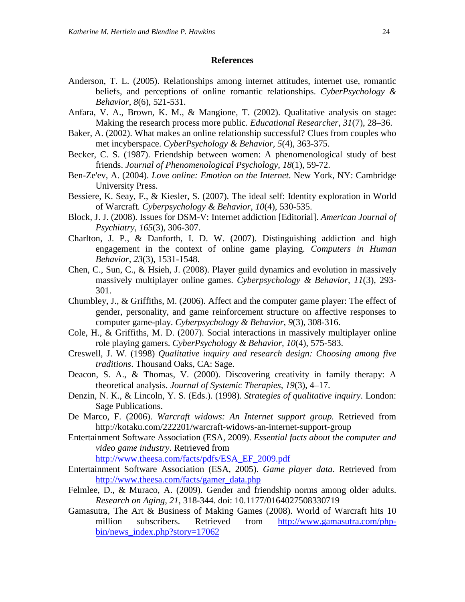#### **References**

- Anderson, T. L. (2005). Relationships among internet attitudes, internet use, romantic beliefs, and perceptions of online romantic relationships. *CyberPsychology & Behavior, 8*(6), 521-531.
- Anfara, V. A., Brown, K. M., & Mangione, T. (2002). Qualitative analysis on stage: Making the research process more public. *Educational Researcher, 31*(7), 28–36.
- Baker, A. (2002). What makes an online relationship successful? Clues from couples who met incyberspace. *CyberPsychology & Behavior, 5*(4), 363-375.
- Becker, C. S. (1987). Friendship between women: A phenomenological study of best friends. *Journal of Phenomenological Psychology, 18*(1), 59-72.
- Ben-Ze'ev, A. (2004). *Love online: Emotion on the Internet*. New York, NY: Cambridge University Press.
- Bessiere, K. Seay, F., & Kiesler, S. (2007). The ideal self: Identity exploration in World of Warcraft*. Cyberpsychology & Behavior*, *10*(4), 530-535.
- Block, J. J. (2008). Issues for DSM-V: Internet addiction [Editorial]. *American Journal of Psychiatry, 165*(3), 306-307.
- Charlton, J. P., & Danforth, I. D. W. (2007). Distinguishing addiction and high engagement in the context of online game playing. *Computers in Human Behavior, 23*(3), 1531-1548.
- Chen, C., Sun, C., & Hsieh, J. (2008). Player guild dynamics and evolution in massively massively multiplayer online games. *Cyberpsychology & Behavior*, *11*(3), 293- 301.
- Chumbley, J., & Griffiths, M. (2006). Affect and the computer game player: The effect of gender, personality, and game reinforcement structure on affective responses to computer game-play. *Cyberpsychology & Behavior*, *9*(3), 308-316.
- Cole, H., & Griffiths, M. D. (2007). Social interactions in massively multiplayer online role playing gamers. *CyberPsychology & Behavior, 10*(4), 575-583.
- Creswell, J. W. (1998) *Qualitative inquiry and research design: Choosing among five traditions*. Thousand Oaks, CA: Sage.
- Deacon, S. A., & Thomas, V. (2000). Discovering creativity in family therapy: A theoretical analysis. *Journal of Systemic Therapies, 19*(3), 4–17.
- Denzin, N. K., & Lincoln, Y. S. (Eds.). (1998). *Strategies of qualitative inquiry*. London: Sage Publications.
- De Marco, F. (2006). *Warcraft widows: An Internet support group.* Retrieved from <http://kotaku.com/222201/warcraft-widows-an-internet-support-group>
- Entertainment Software Association (ESA, 2009). *Essential facts about the computer and video game industry*. Retrieved from

[http://www.theesa.com/facts/pdfs/ESA\\_EF\\_2009.pdf](http://www.theesa.com/facts/pdfs/ESA_EF_2009.pdf)

- Entertainment Software Association (ESA, 2005). *Game player data*. Retrieved from [http://www.theesa.com/facts/gamer\\_data.php](http://www.theesa.com/facts/gamer_data.php)
- Felmlee, D., & Muraco, A. (2009). Gender and friendship norms among older adults. *Research on Aging, 21*, 318-344. doi: 10.1177/0164027508330719
- Gamasutra, The Art & Business of Making Games (2008). World of Warcraft hits 10 million subscribers. Retrieved from [http://www.gamasutra.com/php](http://www.gamasutra.com/php-bin/news_index.php?story=17062)[bin/news\\_index.php?story=17062](http://www.gamasutra.com/php-bin/news_index.php?story=17062)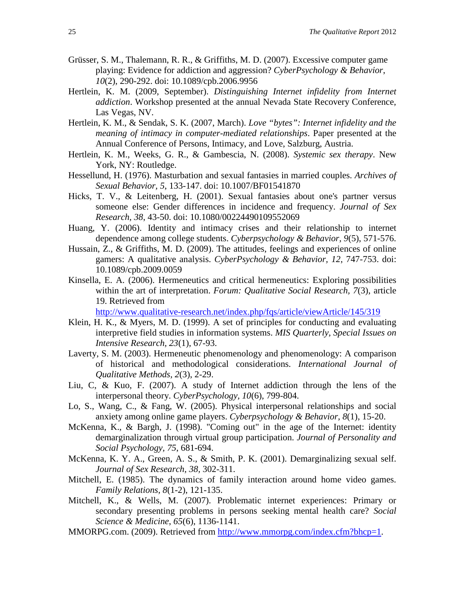- Grüsser, S. M., Thalemann, R. R., & Griffiths, M. D. (2007). Excessive computer game playing: Evidence for addiction and aggression? *CyberPsychology & Behavior*, *10*(2), 290-292. doi: 10.1089/cpb.2006.9956
- Hertlein, K. M. (2009, September). *Distinguishing Internet infidelity from Internet addiction*. Workshop presented at the annual Nevada State Recovery Conference, Las Vegas, NV.
- Hertlein, K. M., & Sendak, S. K. (2007, March). *Love "bytes": Internet infidelity and the meaning of intimacy in computer-mediated relationships*. Paper presented at the Annual Conference of Persons, Intimacy, and Love, Salzburg, Austria.
- Hertlein, K. M., Weeks, G. R., & Gambescia, N. (2008). *Systemic sex therapy*. New York, NY: Routledge.
- Hessellund, H. (1976). Masturbation and sexual fantasies in married couples. *Archives of Sexual Behavior, 5*, 133-147. doi: 10.1007/BF01541870
- Hicks, T. V., & Leitenberg, H. (2001). Sexual fantasies about one's partner versus someone else: Gender differences in incidence and frequency. *Journal of Sex Research, 38*, 43-50. doi: 10.1080/00224490109552069
- Huang, Y. (2006). Identity and intimacy crises and their relationship to internet dependence among college students. *Cyberpsychology & Behavior, 9*(5), 571-576.
- Hussain, Z., & Griffiths, M. D. (2009). The attitudes, feelings and experiences of online gamers: A qualitative analysis. *CyberPsychology & Behavior, 12*, 747-753. doi: 10.1089/cpb.2009.0059
- Kinsella, E. A. (2006). Hermeneutics and critical hermeneutics: Exploring possibilities within the art of interpretation. *Forum: Qualitative Social Research, 7*(3), article 19. Retrieved from

<http://www.qualitative-research.net/index.php/fqs/article/viewArticle/145/319>

- Klein, H. K., & Myers, M. D. (1999). A set of principles for conducting and evaluating interpretive field studies in information systems. *MIS Quarterly, Special Issues on Intensive Research, 23*(1), 67-93.
- Laverty, S. M. (2003). Hermeneutic phenomenology and phenomenology: A comparison of historical and methodological considerations. *International Journal of Qualitative Methods, 2*(3), 2-29.
- Liu, C, & Kuo, F. (2007). A study of Internet addiction through the lens of the interpersonal theory. *CyberPsychology, 10*(6), 799-804.
- Lo, S., Wang, C., & Fang, W. (2005). Physical interpersonal relationships and social anxiety among online game players. *Cyberpsychology & Behavior, 8*(1), 15-20.
- McKenna, K., & Bargh, J. (1998). "Coming out" in the age of the Internet: identity demarginalization through virtual group participation. *Journal of Personality and Social Psychology, 75*, 681-694.
- McKenna, K. Y. A., Green, A. S., & Smith, P. K. (2001). Demarginalizing sexual self. *Journal of Sex Research, 38,* 302-311.
- Mitchell, E. (1985). The dynamics of family interaction around home video games. *Family Relations, 8*(1-2), 121-135.
- Mitchell, K., & Wells, M. (2007). Problematic internet experiences: Primary or secondary presenting problems in persons seeking mental health care? *Social Science & Medicine*, *65*(6), 1136-1141.
- MMORPG.com. (2009). Retrieved from [http://www.mmorpg.com/index.cfm?bhcp=1.](http://www.mmorpg.com/index.cfm?bhcp=1)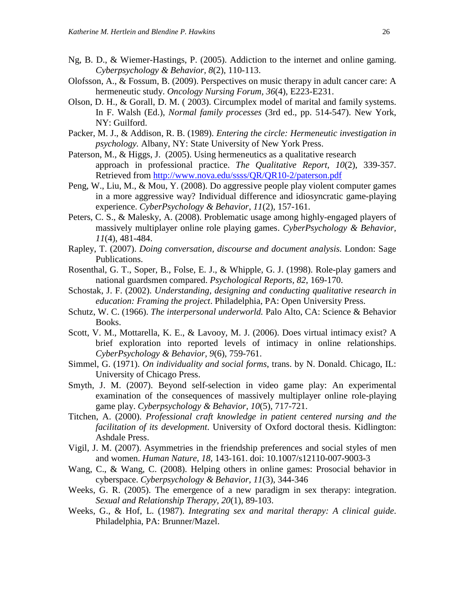- Ng, B. D., & Wiemer-Hastings, P. (2005). Addiction to the internet and online gaming. *Cyberpsychology & Behavior, 8*(2), 110-113.
- Olofsson, A., & Fossum, B. (2009). Perspectives on music therapy in adult cancer care: A hermeneutic study. *Oncology Nursing Forum, 36*(4), E223-E231.
- Olson, D. H., & Gorall, D. M. ( 2003). Circumplex model of marital and family systems. In F. Walsh (Ed.), *Normal family processes* (3rd ed., pp. 514-547). New York, NY: Guilford.
- Packer, M. J., & Addison, R. B. (1989). *Entering the circle: Hermeneutic investigation in psychology.* Albany, NY: State University of New York Press.
- Paterson, M., & Higgs, J. (2005). Using hermeneutics as a qualitative research approach in professional practice. *The Qualitative Report, 10*(2), 339-357. Retrieved from<http://www.nova.edu/ssss/QR/QR10-2/paterson.pdf>
- Peng, W., Liu, M., & Mou, Y. (2008). Do aggressive people play violent computer games in a more aggressive way? Individual difference and idiosyncratic game-playing experience. *CyberPsychology & Behavior, 11*(2), 157-161.
- Peters, C. S., & Malesky, A. (2008). Problematic usage among highly-engaged players of massively multiplayer online role playing games. *CyberPsychology & Behavior, 11*(4), 481-484.
- Rapley, T. (2007). *Doing conversation, discourse and document analysis.* London: Sage Publications.
- Rosenthal, G. T., Soper, B., Folse, E. J., & Whipple, G. J. (1998). Role-play gamers and national guardsmen compared. *Psychological Reports, 82*, 169-170.
- Schostak, J. F. (2002). *Understanding, designing and conducting qualitative research in education: Framing the project*. Philadelphia, PA: Open University Press.
- Schutz, W. C. (1966). *The interpersonal underworld.* Palo Alto, CA: Science & Behavior Books.
- Scott, V. M., Mottarella, K. E., & Lavooy, M. J. (2006). Does virtual intimacy exist? A brief exploration into reported levels of intimacy in online relationships. *CyberPsychology & Behavior, 9*(6), 759-761.
- Simmel, G. (1971). *On individuality and social forms*, trans. by N. Donald. Chicago, IL: University of Chicago Press.
- Smyth, J. M. (2007). Beyond self-selection in video game play: An experimental examination of the consequences of massively multiplayer online role-playing game play. *Cyberpsychology & Behavior, 10*(5), 717-721.
- Titchen, A. (2000). *Professional craft knowledge in patient centered nursing and the facilitation of its development*. University of Oxford doctoral thesis. Kidlington: Ashdale Press.
- Vigil, J. M. (2007). Asymmetries in the friendship preferences and social styles of men and women. *Human Nature, 18,* 143-161. doi: 10.1007/s12110-007-9003-3
- Wang, C., & Wang, C. (2008). Helping others in online games: Prosocial behavior in cyberspace. *Cyberpsychology & Behavior, 11*(3), 344-346
- Weeks, G. R. (2005). The emergence of a new paradigm in sex therapy: integration. *Sexual and Relationship Therapy, 20*(1), 89-103.
- Weeks, G., & Hof, L. (1987). *Integrating sex and marital therapy: A clinical guide*. Philadelphia, PA: Brunner/Mazel.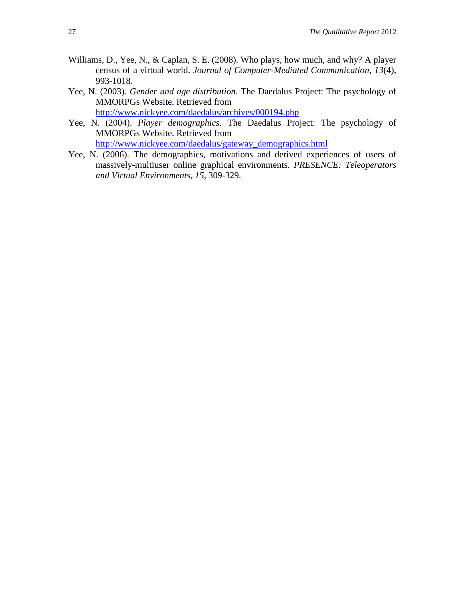- Williams, D., Yee, N., & Caplan, S. E. (2008). Who plays, how much, and why? A player census of a virtual world. *Journal of Computer-Mediated Communication, 13*(4), 993-1018.
- Yee, N. (2003). *Gender and age distribution.* The Daedalus Project: The psychology of MMORPGs Website. Retrieved from <http://www.nickyee.com/daedalus/archives/000194.php>
- Yee, N. (2004). *Player demographics.* The Daedalus Project: The psychology of MMORPGs Website. Retrieved from [http://www.nickyee.com/daedalus/gateway\\_demographics.html](http://www.nickyee.com/daedalus/gateway_demographics.html)

Yee, N. (2006). The demographics, motivations and derived experiences of users of massively-multiuser online graphical environments. *PRESENCE: Teleoperators and Virtual Environments*, *15*, 309-329.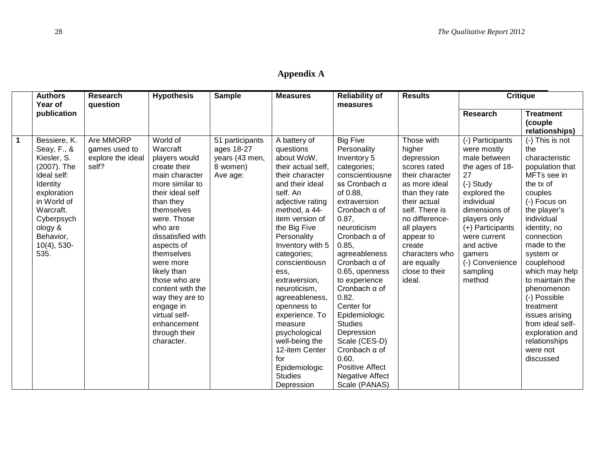| <b>Appendix A</b> |
|-------------------|
|-------------------|

|                | <b>Authors</b> | <b>Research</b>   | <b>Hypothesis</b> | <b>Sample</b>   | <b>Measures</b>    | <b>Reliability of</b>  | <b>Results</b>  | <b>Critique</b>  |                  |
|----------------|----------------|-------------------|-------------------|-----------------|--------------------|------------------------|-----------------|------------------|------------------|
|                | Year of        | question          |                   |                 |                    | measures               |                 |                  |                  |
|                | publication    |                   |                   |                 |                    |                        |                 | <b>Research</b>  | <b>Treatment</b> |
|                |                |                   |                   |                 |                    |                        |                 |                  | (couple          |
|                |                |                   |                   |                 |                    |                        |                 |                  | relationships)   |
| $\overline{1}$ | Bessiere, K.   | Are MMORP         | World of          | 51 participants | A battery of       | <b>Big Five</b>        | Those with      | (-) Participants | (-) This is not  |
|                | Seay, F., &    | games used to     | Warcraft          | ages 18-27      | questions          | Personality            | higher          | were mostly      | the              |
|                | Kiesler, S.    | explore the ideal | players would     | years (43 men,  | about WoW,         | Inventory 5            | depression      | male between     | characteristic   |
|                | (2007). The    | self?             | create their      | 8 women)        | their actual self, | categories;            | scores rated    | the ages of 18-  | population that  |
|                | ideal self:    |                   | main character    | Ave age:        | their character    | conscientiousne        | their character | 27               | MFTs see in      |
|                | Identity       |                   | more similar to   |                 | and their ideal    | ss Cronbach α          | as more ideal   | (-) Study        | the tx of        |
|                | exploration    |                   | their ideal self  |                 | self. An           | of 0.88,               | than they rate  | explored the     | couples          |
|                | in World of    |                   | than they         |                 | adjective rating   | extraversion           | their actual    | individual       | (-) Focus on     |
|                | Warcraft.      |                   | themselves        |                 | method, a 44-      | Cronbach $\alpha$ of   | self. There is  | dimensions of    | the player's     |
|                | Cyberpsych     |                   | were. Those       |                 | item version of    | 0.87,                  | no difference-  | players only     | individual       |
|                | ology &        |                   | who are           |                 | the Big Five       | neuroticism            | all players     | (+) Participants | identity, no     |
|                | Behavior,      |                   | dissatisfied with |                 | Personality        | Cronbach $\alpha$ of   | appear to       | were current     | connection       |
|                | $10(4)$ , 530- |                   | aspects of        |                 | Inventory with 5   | 0.85,                  | create          | and active       | made to the      |
|                | 535.           |                   | themselves        |                 | categories;        | agreeableness          | characters who  | gamers           | system or        |
|                |                |                   | were more         |                 | conscientiousn     | Cronbach $\alpha$ of   | are equally     | (-) Convenience  | couplehood       |
|                |                |                   | likely than       |                 | ess.               | 0.65, openness         | close to their  | sampling         | which may help   |
|                |                |                   | those who are     |                 | extraversion,      | to experience          | ideal.          | method           | to maintain the  |
|                |                |                   | content with the  |                 | neuroticism,       | Cronbach $\alpha$ of   |                 |                  | phenomenon       |
|                |                |                   | way they are to   |                 | agreeableness,     | 0.82.                  |                 |                  | (-) Possible     |
|                |                |                   | engage in         |                 | openness to        | Center for             |                 |                  | treatment        |
|                |                |                   | virtual self-     |                 | experience. To     | Epidemiologic          |                 |                  | issues arising   |
|                |                |                   | enhancement       |                 | measure            | <b>Studies</b>         |                 |                  | from ideal self- |
|                |                |                   | through their     |                 | psychological      | Depression             |                 |                  | exploration and  |
|                |                |                   | character.        |                 | well-being the     | Scale (CES-D)          |                 |                  | relationships    |
|                |                |                   |                   |                 | 12-item Center     | Cronbach $\alpha$ of   |                 |                  | were not         |
|                |                |                   |                   |                 | for                | 0.60.                  |                 |                  | discussed        |
|                |                |                   |                   |                 | Epidemiologic      | <b>Positive Affect</b> |                 |                  |                  |
|                |                |                   |                   |                 | <b>Studies</b>     | <b>Negative Affect</b> |                 |                  |                  |
|                |                |                   |                   |                 | Depression         | Scale (PANAS)          |                 |                  |                  |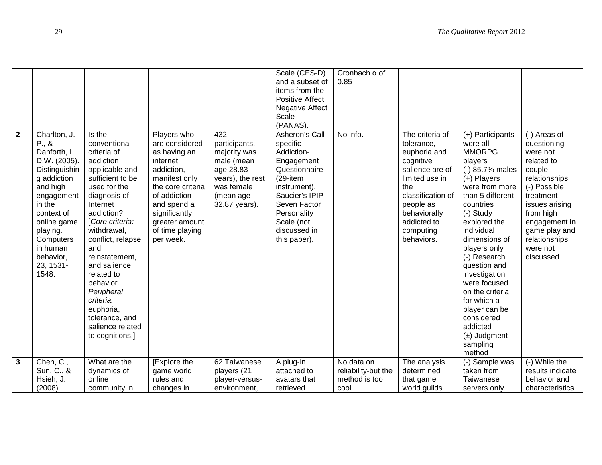|              |               |                   |                   |                  | Scale (CES-D)          | Cronbach $\alpha$ of |                   |                  |                  |
|--------------|---------------|-------------------|-------------------|------------------|------------------------|----------------------|-------------------|------------------|------------------|
|              |               |                   |                   |                  | and a subset of        | 0.85                 |                   |                  |                  |
|              |               |                   |                   |                  | items from the         |                      |                   |                  |                  |
|              |               |                   |                   |                  | <b>Positive Affect</b> |                      |                   |                  |                  |
|              |               |                   |                   |                  | <b>Negative Affect</b> |                      |                   |                  |                  |
|              |               |                   |                   |                  | Scale                  |                      |                   |                  |                  |
|              |               |                   |                   |                  | (PANAS).               |                      |                   |                  |                  |
| $\mathbf{2}$ | Charlton, J.  | Is the            | Players who       | 432              | Asheron's Call-        | No info.             | The criteria of   | (+) Participants | (-) Areas of     |
|              | P., &         | conventional      | are considered    | participants,    | specific               |                      | tolerance,        | were all         | questioning      |
|              | Danforth, I.  | criteria of       | as having an      | majority was     | Addiction-             |                      | euphoria and      | <b>MMORPG</b>    | were not         |
|              | D.W. (2005).  | addiction         | internet          | male (mean       | Engagement             |                      | cognitive         | players          | related to       |
|              | Distinguishin | applicable and    | addiction,        | age 28.83        | Questionnaire          |                      | salience are of   | (-) 85.7% males  | couple           |
|              | g addiction   | sufficient to be  | manifest only     | years), the rest | $(29 - item)$          |                      | limited use in    | (+) Players      | relationships    |
|              | and high      | used for the      | the core criteria | was female       | instrument).           |                      | the               | were from more   | (-) Possible     |
|              | engagement    | diagnosis of      | of addiction      | (mean age        | Saucier's IPIP         |                      | classification of | than 5 different | treatment        |
|              | in the        | Internet          | and spend a       | 32.87 years).    | Seven Factor           |                      | people as         | countries        | issues arising   |
|              | context of    | addiction?        | significantly     |                  | Personality            |                      | behaviorally      | (-) Study        | from high        |
|              | online game   | [Core criteria:   | greater amount    |                  | Scale (not             |                      | addicted to       | explored the     | engagement in    |
|              | playing.      | withdrawal,       | of time playing   |                  | discussed in           |                      | computing         | individual       | game play and    |
|              | Computers     | conflict, relapse | per week.         |                  | this paper).           |                      | behaviors.        | dimensions of    | relationships    |
|              | in human      | and               |                   |                  |                        |                      |                   | players only     | were not         |
|              | behavior,     | reinstatement,    |                   |                  |                        |                      |                   | (-) Research     | discussed        |
|              | 23, 1531-     | and salience      |                   |                  |                        |                      |                   | question and     |                  |
|              | 1548.         | related to        |                   |                  |                        |                      |                   | investigation    |                  |
|              |               | behavior.         |                   |                  |                        |                      |                   | were focused     |                  |
|              |               | Peripheral        |                   |                  |                        |                      |                   | on the criteria  |                  |
|              |               | criteria:         |                   |                  |                        |                      |                   | for which a      |                  |
|              |               |                   |                   |                  |                        |                      |                   |                  |                  |
|              |               | euphoria,         |                   |                  |                        |                      |                   | player can be    |                  |
|              |               | tolerance, and    |                   |                  |                        |                      |                   | considered       |                  |
|              |               | salience related  |                   |                  |                        |                      |                   | addicted         |                  |
|              |               | to cognitions.]   |                   |                  |                        |                      |                   | $(\pm)$ Judgment |                  |
|              |               |                   |                   |                  |                        |                      |                   | sampling         |                  |
|              |               |                   |                   |                  |                        |                      |                   | method           |                  |
| $\mathbf{3}$ | Chen, C.,     | What are the      | [Explore the      | 62 Taiwanese     | A plug-in              | No data on           | The analysis      | (-) Sample was   | (-) While the    |
|              | Sun, C., &    | dynamics of       | game world        | players (21      | attached to            | reliability-but the  | determined        | taken from       | results indicate |
|              | Hsieh, J.     | online            | rules and         | player-versus-   | avatars that           | method is too        | that game         | Taiwanese        | behavior and     |
|              | (2008).       | community in      | changes in        | environment.     | retrieved              | cool.                | world guilds      | servers only     | characteristics  |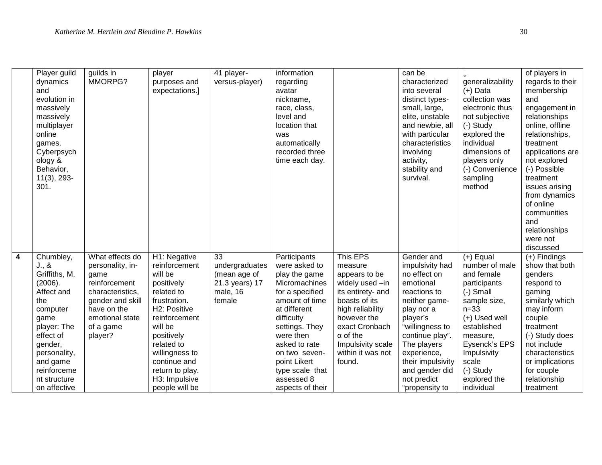|                | Player guild<br>dynamics<br>and<br>evolution in<br>massively<br>massively<br>multiplayer<br>online<br>games.<br>Cyberpsych<br>ology &<br>Behavior,<br>$11(3)$ , 293-<br>301.                              | guilds in<br>MMORPG?                                                                                                                                           | player<br>purposes and<br>expectations.]                                                                                                                                                                                                             | 41 player-<br>versus-player)                                                 | information<br>regarding<br>avatar<br>nickname,<br>race, class,<br>level and<br>location that<br>was<br>automatically<br>recorded three<br>time each day.                                                                                                                |                                                                                                                                                                                                                           | can be<br>characterized<br>into several<br>distinct types-<br>small, large,<br>elite, unstable<br>and newbie, all<br>with particular<br>characteristics<br>involving<br>activity,<br>stability and<br>survival.                                                   | generalizability<br>$(+)$ Data<br>collection was<br>electronic thus<br>not subjective<br>(-) Study<br>explored the<br>individual<br>dimensions of<br>players only<br>(-) Convenience<br>sampling<br>method                           | of players in<br>regards to their<br>membership<br>and<br>engagement in<br>relationships<br>online, offline<br>relationships,<br>treatment<br>applications are<br>not explored<br>(-) Possible<br>treatment<br>issues arising<br>from dynamics<br>of online<br>communities<br>and<br>relationships<br>were not |
|----------------|-----------------------------------------------------------------------------------------------------------------------------------------------------------------------------------------------------------|----------------------------------------------------------------------------------------------------------------------------------------------------------------|------------------------------------------------------------------------------------------------------------------------------------------------------------------------------------------------------------------------------------------------------|------------------------------------------------------------------------------|--------------------------------------------------------------------------------------------------------------------------------------------------------------------------------------------------------------------------------------------------------------------------|---------------------------------------------------------------------------------------------------------------------------------------------------------------------------------------------------------------------------|-------------------------------------------------------------------------------------------------------------------------------------------------------------------------------------------------------------------------------------------------------------------|--------------------------------------------------------------------------------------------------------------------------------------------------------------------------------------------------------------------------------------|----------------------------------------------------------------------------------------------------------------------------------------------------------------------------------------------------------------------------------------------------------------------------------------------------------------|
| $\overline{4}$ | Chumbley,<br>J., &<br>Griffiths, M.<br>(2006).<br>Affect and<br>the<br>computer<br>game<br>player: The<br>effect of<br>gender,<br>personality,<br>and game<br>reinforceme<br>nt structure<br>on affective | What effects do<br>personality, in-<br>game<br>reinforcement<br>characteristics,<br>gender and skill<br>have on the<br>emotional state<br>of a game<br>player? | H1: Negative<br>reinforcement<br>will be<br>positively<br>related to<br>frustration.<br>H2: Positive<br>reinforcement<br>will be<br>positively<br>related to<br>willingness to<br>continue and<br>return to play.<br>H3: Impulsive<br>people will be | 33<br>undergraduates<br>(mean age of<br>21.3 years) 17<br>male, 16<br>female | Participants<br>were asked to<br>play the game<br>Micromachines<br>for a specified<br>amount of time<br>at different<br>difficulty<br>settings. They<br>were then<br>asked to rate<br>on two seven-<br>point Likert<br>type scale that<br>assessed 8<br>aspects of their | This EPS<br>measure<br>appears to be<br>widely used -in<br>its entirety- and<br>boasts of its<br>high reliability<br>however the<br>exact Cronbach<br>$\alpha$ of the<br>Impulsivity scale<br>within it was not<br>found. | Gender and<br>impulsivity had<br>no effect on<br>emotional<br>reactions to<br>neither game-<br>play nor a<br>player's<br>"willingness to<br>continue play".<br>The players<br>experience,<br>their impulsivity<br>and gender did<br>not predict<br>"propensity to | $(+)$ Equal<br>number of male<br>and female<br>participants<br>$(-)$ Small<br>sample size,<br>$n=33$<br>(+) Used well<br>established<br>measure,<br>Eysenck's EPS<br>Impulsivity<br>scale<br>(-) Study<br>explored the<br>individual | discussed<br>$(+)$ Findings<br>show that both<br>genders<br>respond to<br>gaming<br>similarly which<br>may inform<br>couple<br>treatment<br>(-) Study does<br>not include<br>characteristics<br>or implications<br>for couple<br>relationship<br>treatment                                                     |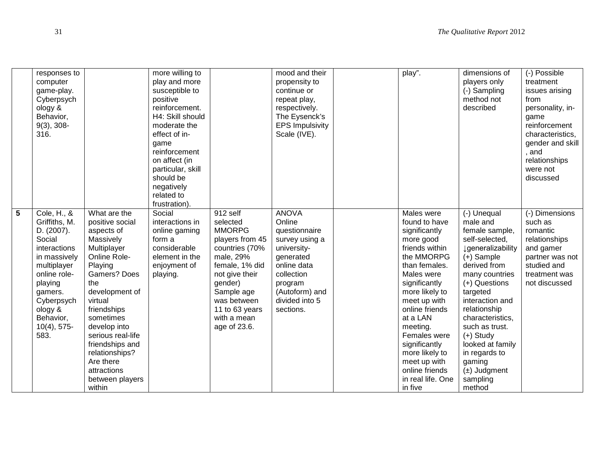|                | responses to<br>computer<br>game-play.<br>Cyberpsych<br>ology &<br>Behavior,<br>$9(3)$ , 308-<br>316.                                                                                                     |                                                                                                                                                                                                                                                                                                                         | more willing to<br>play and more<br>susceptible to<br>positive<br>reinforcement.<br>H4: Skill should<br>moderate the<br>effect of in-<br>game<br>reinforcement<br>on affect (in<br>particular, skill<br>should be<br>negatively<br>related to<br>frustration). |                                                                                                                                                                                                                      | mood and their<br>propensity to<br>continue or<br>repeat play,<br>respectively.<br>The Eysenck's<br><b>EPS Impulsivity</b><br>Scale (IVE).                                     | play".                                                                                                                                                                                                                                                                                                                                     | dimensions of<br>players only<br>(-) Sampling<br>method not<br>described                                                                                                                                                                                                                                                                                 | (-) Possible<br>treatment<br>issues arising<br>from<br>personality, in-<br>game<br>reinforcement<br>characteristics,<br>gender and skill<br>, and<br>relationships<br>were not<br>discussed |
|----------------|-----------------------------------------------------------------------------------------------------------------------------------------------------------------------------------------------------------|-------------------------------------------------------------------------------------------------------------------------------------------------------------------------------------------------------------------------------------------------------------------------------------------------------------------------|----------------------------------------------------------------------------------------------------------------------------------------------------------------------------------------------------------------------------------------------------------------|----------------------------------------------------------------------------------------------------------------------------------------------------------------------------------------------------------------------|--------------------------------------------------------------------------------------------------------------------------------------------------------------------------------|--------------------------------------------------------------------------------------------------------------------------------------------------------------------------------------------------------------------------------------------------------------------------------------------------------------------------------------------|----------------------------------------------------------------------------------------------------------------------------------------------------------------------------------------------------------------------------------------------------------------------------------------------------------------------------------------------------------|---------------------------------------------------------------------------------------------------------------------------------------------------------------------------------------------|
| $\overline{5}$ | Cole, H., &<br>Griffiths, M.<br>D. (2007).<br>Social<br>interactions<br>in massively<br>multiplayer<br>online role-<br>playing<br>gamers.<br>Cyberpsych<br>ology &<br>Behavior,<br>$10(4)$ , 575-<br>583. | What are the<br>positive social<br>aspects of<br>Massively<br>Multiplayer<br>Online Role-<br>Playing<br>Gamers? Does<br>the<br>development of<br>virtual<br>friendships<br>sometimes<br>develop into<br>serious real-life<br>friendships and<br>relationships?<br>Are there<br>attractions<br>between players<br>within | Social<br>interactions in<br>online gaming<br>form a<br>considerable<br>element in the<br>enjoyment of<br>playing.                                                                                                                                             | 912 self<br>selected<br><b>MMORPG</b><br>players from 45<br>countries (70%<br>male, 29%<br>female, 1% did<br>not give their<br>gender)<br>Sample age<br>was between<br>11 to 63 years<br>with a mean<br>age of 23.6. | <b>ANOVA</b><br>Online<br>questionnaire<br>survey using a<br>university-<br>generated<br>online data<br>collection<br>program<br>(Autoform) and<br>divided into 5<br>sections. | Males were<br>found to have<br>significantly<br>more good<br>friends within<br>the MMORPG<br>than females.<br>Males were<br>significantly<br>more likely to<br>meet up with<br>online friends<br>at a LAN<br>meeting.<br>Females were<br>significantly<br>more likely to<br>meet up with<br>online friends<br>in real life. One<br>in five | (-) Unequal<br>male and<br>female sample,<br>self-selected,<br><b>J</b> generalizability<br>$(+)$ Sample<br>derived from<br>many countries<br>(+) Questions<br>targeted<br>interaction and<br>relationship<br>characteristics,<br>such as trust.<br>$(+)$ Study<br>looked at family<br>in regards to<br>gaming<br>$(\pm)$ Judgment<br>sampling<br>method | (-) Dimensions<br>such as<br>romantic<br>relationships<br>and gamer<br>partner was not<br>studied and<br>treatment was<br>not discussed                                                     |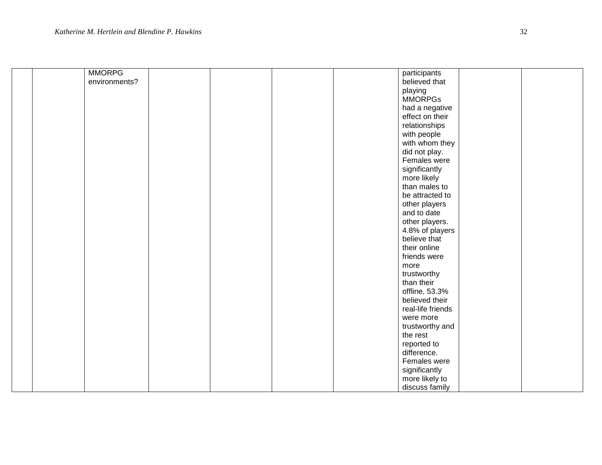| <b>MMORPG</b> |  | participants      |  |
|---------------|--|-------------------|--|
| environments? |  | believed that     |  |
|               |  | playing           |  |
|               |  | <b>MMORPGs</b>    |  |
|               |  | had a negative    |  |
|               |  | effect on their   |  |
|               |  | relationships     |  |
|               |  | with people       |  |
|               |  | with whom they    |  |
|               |  | did not play.     |  |
|               |  | Females were      |  |
|               |  | significantly     |  |
|               |  | more likely       |  |
|               |  | than males to     |  |
|               |  | be attracted to   |  |
|               |  | other players     |  |
|               |  | and to date       |  |
|               |  | other players.    |  |
|               |  | 4.8% of players   |  |
|               |  | believe that      |  |
|               |  | their online      |  |
|               |  | friends were      |  |
|               |  | more              |  |
|               |  | trustworthy       |  |
|               |  | than their        |  |
|               |  | offline, 53.3%    |  |
|               |  | believed their    |  |
|               |  | real-life friends |  |
|               |  | were more         |  |
|               |  | trustworthy and   |  |
|               |  | the rest          |  |
|               |  | reported to       |  |
|               |  | difference.       |  |
|               |  | Females were      |  |
|               |  | significantly     |  |
|               |  | more likely to    |  |
|               |  | discuss family    |  |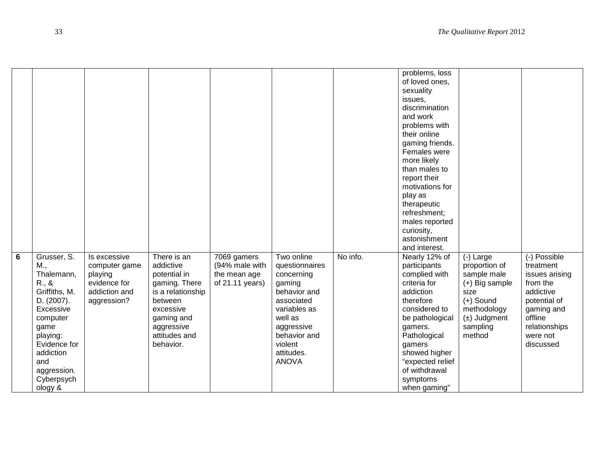|                |                                                                                                                                                                                                   |                                                                                          |                                                                                                                                                                  |                                                                  |                                                                                                                                                                                      |          | problems, loss<br>of loved ones,<br>sexuality<br>issues,<br>discrimination<br>and work<br>problems with<br>their online<br>gaming friends.<br>Females were<br>more likely<br>than males to<br>report their<br>motivations for<br>play as<br>therapeutic<br>refreshment;<br>males reported<br>curiosity,<br>astonishment<br>and interest. |                                                                                                                                               |                                                                                                                                                         |
|----------------|---------------------------------------------------------------------------------------------------------------------------------------------------------------------------------------------------|------------------------------------------------------------------------------------------|------------------------------------------------------------------------------------------------------------------------------------------------------------------|------------------------------------------------------------------|--------------------------------------------------------------------------------------------------------------------------------------------------------------------------------------|----------|------------------------------------------------------------------------------------------------------------------------------------------------------------------------------------------------------------------------------------------------------------------------------------------------------------------------------------------|-----------------------------------------------------------------------------------------------------------------------------------------------|---------------------------------------------------------------------------------------------------------------------------------------------------------|
| $\overline{6}$ | Grusser, S.<br>M.,<br>Thalemann,<br>R., 8<br>Griffiths, M.<br>D. (2007).<br>Excessive<br>computer<br>game<br>playing:<br>Evidence for<br>addiction<br>and<br>aggression.<br>Cyberpsych<br>ology & | Is excessive<br>computer game<br>playing<br>evidence for<br>addiction and<br>aggression? | There is an<br>addictive<br>potential in<br>gaming. There<br>is a relationship<br>between<br>excessive<br>gaming and<br>aggressive<br>attitudes and<br>behavior. | 7069 gamers<br>(94% male with<br>the mean age<br>of 21.11 years) | Two online<br>questionnaires<br>concerning<br>gaming<br>behavior and<br>associated<br>variables as<br>well as<br>aggressive<br>behavior and<br>violent<br>attitudes.<br><b>ANOVA</b> | No info. | Nearly 12% of<br>participants<br>complied with<br>criteria for<br>addiction<br>therefore<br>considered to<br>be pathological<br>gamers.<br>Pathological<br>gamers<br>showed higher<br>"expected relief<br>of withdrawal<br>symptoms<br>when gaming"                                                                                      | $(-)$ Large<br>proportion of<br>sample male<br>(+) Big sample<br>size<br>$(+)$ Sound<br>methodology<br>$(\pm)$ Judgment<br>sampling<br>method | (-) Possible<br>treatment<br>issues arising<br>from the<br>addictive<br>potential of<br>gaming and<br>offline<br>relationships<br>were not<br>discussed |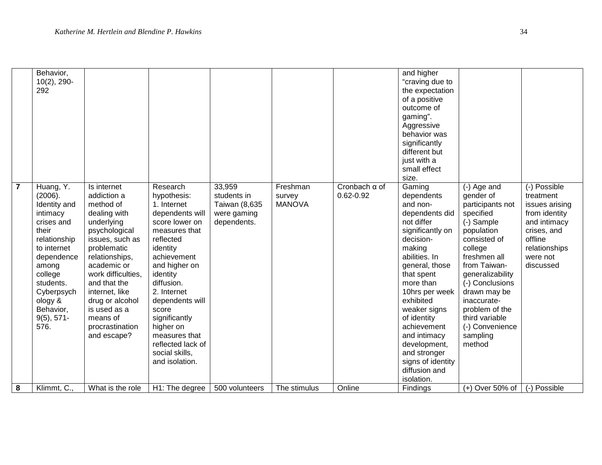|                | Behavior,<br>$10(2)$ , 290-<br>292                                                                                                                                                                                  |                                                                                                                                                                                                                                                                                                    |                                                                                                                                                                                                                                                                                                                                    |                                                                      |                                     |                                       | and higher<br>"craving due to<br>the expectation<br>of a positive<br>outcome of<br>gaming".<br>Aggressive<br>behavior was<br>significantly<br>different but<br>just with a<br>small effect<br>size.                                                                                                                                                        |                                                                                                                                                                                                                                                                                                     |                                                                                                                                                  |
|----------------|---------------------------------------------------------------------------------------------------------------------------------------------------------------------------------------------------------------------|----------------------------------------------------------------------------------------------------------------------------------------------------------------------------------------------------------------------------------------------------------------------------------------------------|------------------------------------------------------------------------------------------------------------------------------------------------------------------------------------------------------------------------------------------------------------------------------------------------------------------------------------|----------------------------------------------------------------------|-------------------------------------|---------------------------------------|------------------------------------------------------------------------------------------------------------------------------------------------------------------------------------------------------------------------------------------------------------------------------------------------------------------------------------------------------------|-----------------------------------------------------------------------------------------------------------------------------------------------------------------------------------------------------------------------------------------------------------------------------------------------------|--------------------------------------------------------------------------------------------------------------------------------------------------|
| $\overline{7}$ | Huang, Y.<br>(2006).<br>Identity and<br>intimacy<br>crises and<br>their<br>relationship<br>to internet<br>dependence<br>among<br>college<br>students.<br>Cyberpsych<br>ology &<br>Behavior,<br>$9(5), 571-$<br>576. | Is internet<br>addiction a<br>method of<br>dealing with<br>underlying<br>psychological<br>issues, such as<br>problematic<br>relationships,<br>academic or<br>work difficulties,<br>and that the<br>internet, like<br>drug or alcohol<br>is used as a<br>means of<br>procrastination<br>and escape? | Research<br>hypothesis:<br>1. Internet<br>dependents will<br>score lower on<br>measures that<br>reflected<br>identity<br>achievement<br>and higher on<br>identity<br>diffusion.<br>2. Internet<br>dependents will<br>score<br>significantly<br>higher on<br>measures that<br>reflected lack of<br>social skills,<br>and isolation. | 33,959<br>students in<br>Taiwan (8,635<br>were gaming<br>dependents. | Freshman<br>survey<br><b>MANOVA</b> | Cronbach $\alpha$ of<br>$0.62 - 0.92$ | Gaming<br>dependents<br>and non-<br>dependents did<br>not differ<br>significantly on<br>decision-<br>making<br>abilities. In<br>general, those<br>that spent<br>more than<br>10hrs per week<br>exhibited<br>weaker signs<br>of identity<br>achievement<br>and intimacy<br>development,<br>and stronger<br>signs of identity<br>diffusion and<br>isolation. | (-) Age and<br>gender of<br>participants not<br>specified<br>(-) Sample<br>population<br>consisted of<br>college<br>freshmen all<br>from Taiwan-<br>generalizability<br>(-) Conclusions<br>drawn may be<br>inaccurate-<br>problem of the<br>third variable<br>(-) Convenience<br>sampling<br>method | (-) Possible<br>treatment<br>issues arising<br>from identity<br>and intimacy<br>crises, and<br>offline<br>relationships<br>were not<br>discussed |
| 8              | Klimmt, C.,                                                                                                                                                                                                         | What is the role                                                                                                                                                                                                                                                                                   | H1: The degree                                                                                                                                                                                                                                                                                                                     | 500 volunteers                                                       | The stimulus                        | Online                                | Findings                                                                                                                                                                                                                                                                                                                                                   | $(+)$ Over 50% of                                                                                                                                                                                                                                                                                   | (-) Possible                                                                                                                                     |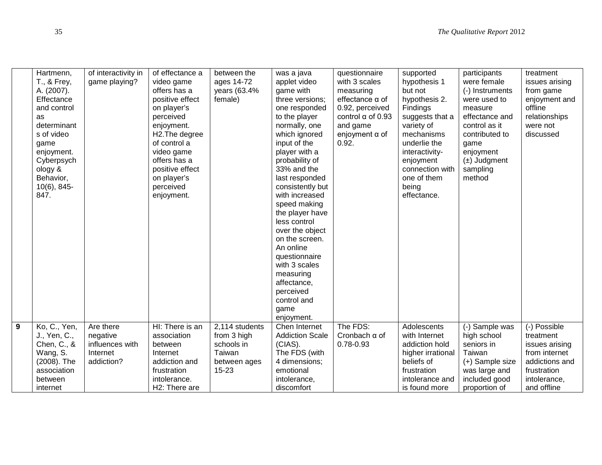|                | Hartmenn,<br>T., & Frey,<br>A. (2007).<br>Effectance<br>and control<br>as<br>determinant<br>s of video<br>game<br>enjoyment.<br>Cyberpsych<br>ology &<br>Behavior,<br>$10(6)$ , 845-<br>847. | of interactivity in<br>game playing? | of effectance a<br>video game<br>offers has a<br>positive effect<br>on player's<br>perceived<br>enjoyment.<br>H <sub>2</sub> . The degree<br>of control a<br>video game<br>offers has a<br>positive effect<br>on player's<br>perceived<br>enjoyment. | between the<br>ages 14-72<br>years (63.4%<br>female) | was a java<br>applet video<br>game with<br>three versions;<br>one responded<br>to the player<br>normally, one<br>which ignored<br>input of the<br>player with a<br>probability of<br>33% and the<br>last responded<br>consistently but<br>with increased<br>speed making<br>the player have<br>less control<br>over the object<br>on the screen.<br>An online<br>questionnaire<br>with 3 scales<br>measuring<br>affectance,<br>perceived<br>control and<br>game<br>enjoyment. | questionnaire<br>with 3 scales<br>measuring<br>effectance $\alpha$ of<br>0.92, perceived<br>control $\alpha$ of 0.93<br>and game<br>enjoyment $\alpha$ of<br>0.92. | supported<br>hypothesis 1<br>but not<br>hypothesis 2.<br>Findings<br>suggests that a<br>variety of<br>mechanisms<br>underlie the<br>interactivity-<br>enjoyment<br>connection with<br>one of them<br>being<br>effectance. | participants<br>were female<br>(-) Instruments<br>were used to<br>measure<br>effectance and<br>control as it<br>contributed to<br>game<br>enjoyment<br>$(\pm)$ Judgment<br>sampling<br>method | treatment<br>issues arising<br>from game<br>enjoyment and<br>offline<br>relationships<br>were not<br>discussed |
|----------------|----------------------------------------------------------------------------------------------------------------------------------------------------------------------------------------------|--------------------------------------|------------------------------------------------------------------------------------------------------------------------------------------------------------------------------------------------------------------------------------------------------|------------------------------------------------------|-------------------------------------------------------------------------------------------------------------------------------------------------------------------------------------------------------------------------------------------------------------------------------------------------------------------------------------------------------------------------------------------------------------------------------------------------------------------------------|--------------------------------------------------------------------------------------------------------------------------------------------------------------------|---------------------------------------------------------------------------------------------------------------------------------------------------------------------------------------------------------------------------|-----------------------------------------------------------------------------------------------------------------------------------------------------------------------------------------------|----------------------------------------------------------------------------------------------------------------|
| $\overline{9}$ | Ko, C., Yen,<br>J., Yen, C.,                                                                                                                                                                 | Are there<br>negative                | HI: There is an<br>association                                                                                                                                                                                                                       | 2,114 students<br>from 3 high                        | Chen Internet<br><b>Addiction Scale</b>                                                                                                                                                                                                                                                                                                                                                                                                                                       | The FDS:<br>Cronbach $\alpha$ of                                                                                                                                   | Adolescents<br>with Internet                                                                                                                                                                                              | (-) Sample was<br>high school                                                                                                                                                                 | (-) Possible<br>treatment                                                                                      |
|                | Chen, C., &                                                                                                                                                                                  | influences with                      | between                                                                                                                                                                                                                                              | schools in                                           | (CIAS).                                                                                                                                                                                                                                                                                                                                                                                                                                                                       | 0.78-0.93                                                                                                                                                          | addiction hold                                                                                                                                                                                                            | seniors in                                                                                                                                                                                    | issues arising                                                                                                 |
|                | Wang, S.                                                                                                                                                                                     | Internet                             | Internet                                                                                                                                                                                                                                             | Taiwan                                               | The FDS (with                                                                                                                                                                                                                                                                                                                                                                                                                                                                 |                                                                                                                                                                    | higher irrational                                                                                                                                                                                                         | Taiwan                                                                                                                                                                                        | from internet                                                                                                  |
|                | (2008). The                                                                                                                                                                                  | addiction?                           | addiction and                                                                                                                                                                                                                                        | between ages                                         | 4 dimensions;                                                                                                                                                                                                                                                                                                                                                                                                                                                                 |                                                                                                                                                                    | beliefs of                                                                                                                                                                                                                | (+) Sample size                                                                                                                                                                               | addictions and                                                                                                 |
|                | association                                                                                                                                                                                  |                                      | frustration                                                                                                                                                                                                                                          | 15-23                                                | emotional                                                                                                                                                                                                                                                                                                                                                                                                                                                                     |                                                                                                                                                                    | frustration                                                                                                                                                                                                               | was large and                                                                                                                                                                                 | frustration                                                                                                    |
|                |                                                                                                                                                                                              |                                      |                                                                                                                                                                                                                                                      |                                                      |                                                                                                                                                                                                                                                                                                                                                                                                                                                                               |                                                                                                                                                                    |                                                                                                                                                                                                                           |                                                                                                                                                                                               |                                                                                                                |
|                | between                                                                                                                                                                                      |                                      | intolerance.                                                                                                                                                                                                                                         |                                                      | intolerance,                                                                                                                                                                                                                                                                                                                                                                                                                                                                  |                                                                                                                                                                    | intolerance and                                                                                                                                                                                                           | included good                                                                                                                                                                                 | intolerance,                                                                                                   |
|                | internet                                                                                                                                                                                     |                                      | H2: There are                                                                                                                                                                                                                                        |                                                      | discomfort                                                                                                                                                                                                                                                                                                                                                                                                                                                                    |                                                                                                                                                                    | is found more                                                                                                                                                                                                             | proportion of                                                                                                                                                                                 | and offline                                                                                                    |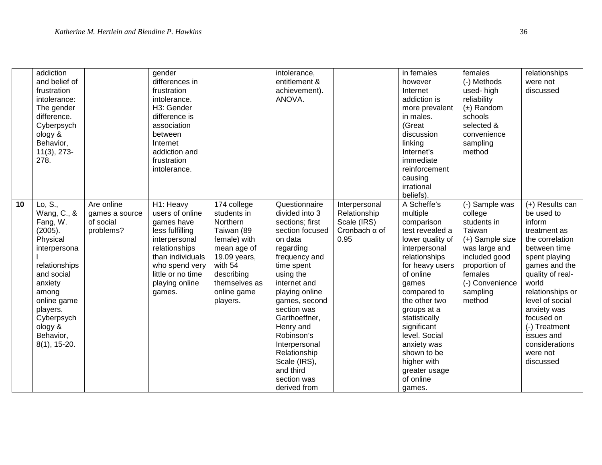|    | addiction<br>and belief of<br>frustration<br>intolerance:<br>The gender<br>difference.<br>Cyberpsych<br>ology &<br>Behavior,<br>$11(3), 273-$<br>278.                                                           |                                                        | gender<br>differences in<br>frustration<br>intolerance.<br>H3: Gender<br>difference is<br>association<br>between<br>Internet<br>addiction and<br>frustration<br>intolerance.           |                                                                                                                                                                          | intolerance,<br>entitlement &<br>achievement).<br>ANOVA.                                                                                                                                                                                                                                                                                             |                                                                              | $\overline{\mathsf{in}}$ females<br>however<br>Internet<br>addiction is<br>more prevalent<br>in males.<br>(Great<br>discussion<br>linking<br>Internet's<br>immediate<br>reinforcement<br>causing<br>irrational<br>beliefs).                                                                                                                  | females<br>(-) Methods<br>used-high<br>reliability<br>$(\pm)$ Random<br>schools<br>selected &<br>convenience<br>sampling<br>method                                           | relationships<br>were not<br>discussed                                                                                                                                                                                                                                                                  |
|----|-----------------------------------------------------------------------------------------------------------------------------------------------------------------------------------------------------------------|--------------------------------------------------------|----------------------------------------------------------------------------------------------------------------------------------------------------------------------------------------|--------------------------------------------------------------------------------------------------------------------------------------------------------------------------|------------------------------------------------------------------------------------------------------------------------------------------------------------------------------------------------------------------------------------------------------------------------------------------------------------------------------------------------------|------------------------------------------------------------------------------|----------------------------------------------------------------------------------------------------------------------------------------------------------------------------------------------------------------------------------------------------------------------------------------------------------------------------------------------|------------------------------------------------------------------------------------------------------------------------------------------------------------------------------|---------------------------------------------------------------------------------------------------------------------------------------------------------------------------------------------------------------------------------------------------------------------------------------------------------|
| 10 | Lo, S.,<br>Wang, C., &<br>Fang, W.<br>(2005).<br>Physical<br>interpersona<br>relationships<br>and social<br>anxiety<br>among<br>online game<br>players.<br>Cyberpsych<br>ology &<br>Behavior,<br>$8(1), 15-20.$ | Are online<br>games a source<br>of social<br>problems? | H1: Heavy<br>users of online<br>games have<br>less fulfilling<br>interpersonal<br>relationships<br>than individuals<br>who spend very<br>little or no time<br>playing online<br>games. | 174 college<br>students in<br>Northern<br>Taiwan (89<br>female) with<br>mean age of<br>19.09 years,<br>with 54<br>describing<br>themselves as<br>online game<br>players. | Questionnaire<br>divided into 3<br>sections; first<br>section focused<br>on data<br>regarding<br>frequency and<br>time spent<br>using the<br>internet and<br>playing online<br>games, second<br>section was<br>Garthoeffner,<br>Henry and<br>Robinson's<br>Interpersonal<br>Relationship<br>Scale (IRS),<br>and third<br>section was<br>derived from | Interpersonal<br>Relationship<br>Scale (IRS)<br>Cronbach $\alpha$ of<br>0.95 | A Scheffe's<br>multiple<br>comparison<br>test revealed a<br>lower quality of<br>interpersonal<br>relationships<br>for heavy users<br>of online<br>games<br>compared to<br>the other two<br>groups at a<br>statistically<br>significant<br>level. Social<br>anxiety was<br>shown to be<br>higher with<br>greater usage<br>of online<br>games. | (-) Sample was<br>college<br>students in<br>Taiwan<br>(+) Sample size<br>was large and<br>included good<br>proportion of<br>females<br>(-) Convenience<br>sampling<br>method | (+) Results can<br>be used to<br>inform<br>treatment as<br>the correlation<br>between time<br>spent playing<br>games and the<br>quality of real-<br>world<br>relationships or<br>level of social<br>anxiety was<br>focused on<br>(-) Treatment<br>issues and<br>considerations<br>were not<br>discussed |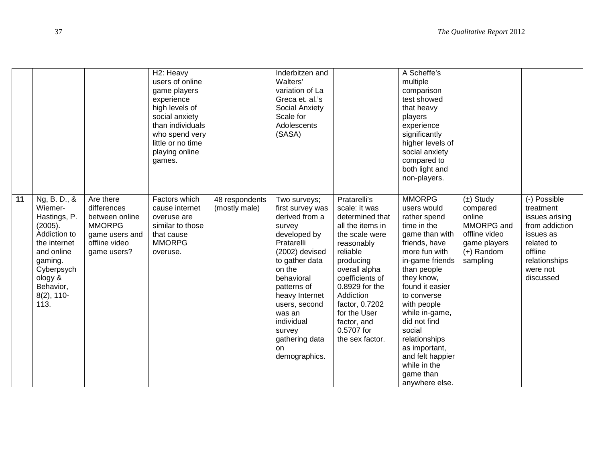|    |                                                                                                                                                                            |                                                                                                               | H <sub>2</sub> : Heavy<br>users of online<br>game players<br>experience<br>high levels of<br>social anxiety<br>than individuals<br>who spend very<br>little or no time<br>playing online<br>games. |                                 | Inderbitzen and<br>Walters'<br>variation of La<br>Greca et. al.'s<br>Social Anxiety<br>Scale for<br>Adolescents<br>(SASA)                                                                                                                                                           |                                                                                                                                                                                                                                                                                    | A Scheffe's<br>multiple<br>comparison<br>test showed<br>that heavy<br>players<br>experience<br>significantly<br>higher levels of<br>social anxiety<br>compared to<br>both light and<br>non-players.                                                                                                                                                               |                                                                                                                |                                                                                                                                               |
|----|----------------------------------------------------------------------------------------------------------------------------------------------------------------------------|---------------------------------------------------------------------------------------------------------------|----------------------------------------------------------------------------------------------------------------------------------------------------------------------------------------------------|---------------------------------|-------------------------------------------------------------------------------------------------------------------------------------------------------------------------------------------------------------------------------------------------------------------------------------|------------------------------------------------------------------------------------------------------------------------------------------------------------------------------------------------------------------------------------------------------------------------------------|-------------------------------------------------------------------------------------------------------------------------------------------------------------------------------------------------------------------------------------------------------------------------------------------------------------------------------------------------------------------|----------------------------------------------------------------------------------------------------------------|-----------------------------------------------------------------------------------------------------------------------------------------------|
| 11 | Ng, B. D., &<br>Wiemer-<br>Hastings, P.<br>(2005).<br>Addiction to<br>the internet<br>and online<br>gaming.<br>Cyberpsych<br>ology &<br>Behavior,<br>$8(2)$ , 110-<br>113. | Are there<br>differences<br>between online<br><b>MMORPG</b><br>game users and<br>offline video<br>game users? | Factors which<br>cause internet<br>overuse are<br>similar to those<br>that cause<br><b>MMORPG</b><br>overuse.                                                                                      | 48 respondents<br>(mostly male) | Two surveys;<br>first survey was<br>derived from a<br>survey<br>developed by<br>Pratarelli<br>(2002) devised<br>to gather data<br>on the<br>behavioral<br>patterns of<br>heavy Internet<br>users, second<br>was an<br>individual<br>survey<br>gathering data<br>on<br>demographics. | Pratarelli's<br>scale: it was<br>determined that<br>all the items in<br>the scale were<br>reasonably<br>reliable<br>producing<br>overall alpha<br>coefficients of<br>0.8929 for the<br>Addiction<br>factor, 0.7202<br>for the User<br>factor, and<br>0.5707 for<br>the sex factor. | <b>MMORPG</b><br>users would<br>rather spend<br>time in the<br>game than with<br>friends, have<br>more fun with<br>in-game friends<br>than people<br>they know,<br>found it easier<br>to converse<br>with people<br>while in-game,<br>did not find<br>social<br>relationships<br>as important,<br>and felt happier<br>while in the<br>game than<br>anywhere else. | $(\pm)$ Study<br>compared<br>online<br>MMORPG and<br>offline video<br>game players<br>$(+)$ Random<br>sampling | (-) Possible<br>treatment<br>issues arising<br>from addiction<br>issues as<br>related to<br>offline<br>relationships<br>were not<br>discussed |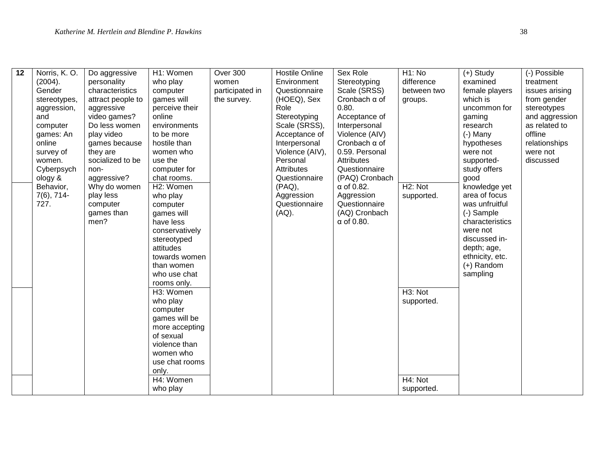| 12 | Norris, K.O.    | Do aggressive     | H1: Women      | Over 300        | <b>Hostile Online</b> | Sex Role             | H <sub>1</sub> : No   | $(+)$ Study     | (-) Possible   |
|----|-----------------|-------------------|----------------|-----------------|-----------------------|----------------------|-----------------------|-----------------|----------------|
|    | (2004).         | personality       | who play       | women           | Environment           | Stereotyping         | difference            | examined        | treatment      |
|    | Gender          | characteristics   | computer       | participated in | Questionnaire         | Scale (SRSS)         | between two           | female players  | issues arising |
|    | stereotypes,    | attract people to | games will     | the survey.     | (HOEQ), Sex           | Cronbach $\alpha$ of | groups.               | which is        | from gender    |
|    | aggression,     | aggressive        | perceive their |                 | Role                  | 0.80.                |                       | uncommon for    | stereotypes    |
|    | and             | video games?      | online         |                 | Stereotyping          | Acceptance of        |                       | gaming          | and aggression |
|    | computer        | Do less women     | environments   |                 | Scale (SRSS),         | Interpersonal        |                       | research        | as related to  |
|    | games: An       | play video        | to be more     |                 | Acceptance of         | Violence (AIV)       |                       | $(-)$ Many      | offline        |
|    | online          | games because     | hostile than   |                 | Interpersonal         | Cronbach $\alpha$ of |                       | hypotheses      | relationships  |
|    | survey of       | they are          | women who      |                 | Violence (AIV),       | 0.59. Personal       |                       | were not        | were not       |
|    | women.          | socialized to be  | use the        |                 | Personal              | Attributes           |                       | supported-      | discussed      |
|    | Cyberpsych      | non-              | computer for   |                 | <b>Attributes</b>     | Questionnaire        |                       | study offers    |                |
|    | ology &         | aggressive?       | chat rooms.    |                 | Questionnaire         | (PAQ) Cronbach       |                       | good            |                |
|    | Behavior,       | Why do women      | H2: Women      |                 | $(PAQ)$ ,             | $\alpha$ of 0.82.    | $\overline{H}$ 2: Not | knowledge yet   |                |
|    | $7(6)$ , $714-$ | play less         | who play       |                 | Aggression            | Aggression           | supported.            | area of focus   |                |
|    | 727.            | computer          | computer       |                 | Questionnaire         | Questionnaire        |                       | was unfruitful  |                |
|    |                 | games than        | games will     |                 | $(AQ)$ .              | (AQ) Cronbach        |                       | (-) Sample      |                |
|    |                 | men?              | have less      |                 |                       | $\alpha$ of 0.80.    |                       | characteristics |                |
|    |                 |                   | conservatively |                 |                       |                      |                       | were not        |                |
|    |                 |                   | stereotyped    |                 |                       |                      |                       | discussed in-   |                |
|    |                 |                   | attitudes      |                 |                       |                      |                       | depth; age,     |                |
|    |                 |                   | towards women  |                 |                       |                      |                       | ethnicity, etc. |                |
|    |                 |                   | than women     |                 |                       |                      |                       | $(+)$ Random    |                |
|    |                 |                   | who use chat   |                 |                       |                      |                       | sampling        |                |
|    |                 |                   | rooms only.    |                 |                       |                      |                       |                 |                |
|    |                 |                   | H3: Women      |                 |                       |                      | H <sub>3</sub> : Not  |                 |                |
|    |                 |                   | who play       |                 |                       |                      | supported.            |                 |                |
|    |                 |                   | computer       |                 |                       |                      |                       |                 |                |
|    |                 |                   | games will be  |                 |                       |                      |                       |                 |                |
|    |                 |                   | more accepting |                 |                       |                      |                       |                 |                |
|    |                 |                   | of sexual      |                 |                       |                      |                       |                 |                |
|    |                 |                   | violence than  |                 |                       |                      |                       |                 |                |
|    |                 |                   | women who      |                 |                       |                      |                       |                 |                |
|    |                 |                   | use chat rooms |                 |                       |                      |                       |                 |                |
|    |                 |                   | only.          |                 |                       |                      |                       |                 |                |
|    |                 |                   | H4: Women      |                 |                       |                      | H4: Not               |                 |                |
|    |                 |                   | who play       |                 |                       |                      | supported.            |                 |                |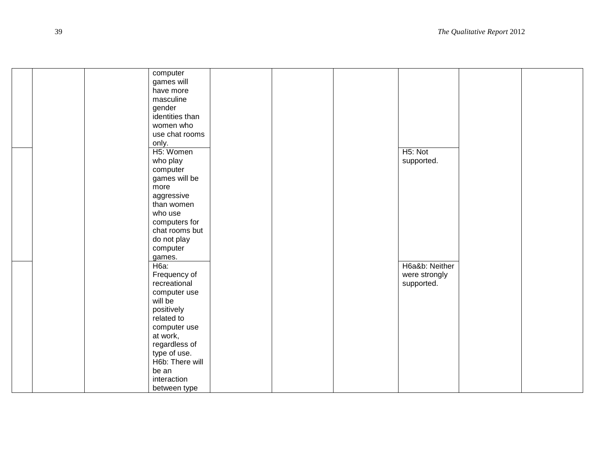|  | computer        |  |                      |  |
|--|-----------------|--|----------------------|--|
|  | games will      |  |                      |  |
|  | have more       |  |                      |  |
|  | masculine       |  |                      |  |
|  | gender          |  |                      |  |
|  | identities than |  |                      |  |
|  | women who       |  |                      |  |
|  | use chat rooms  |  |                      |  |
|  | only.           |  |                      |  |
|  | H5: Women       |  | H <sub>5</sub> : Not |  |
|  | who play        |  | supported.           |  |
|  | computer        |  |                      |  |
|  | games will be   |  |                      |  |
|  | more            |  |                      |  |
|  | aggressive      |  |                      |  |
|  | than women      |  |                      |  |
|  | who use         |  |                      |  |
|  | computers for   |  |                      |  |
|  | chat rooms but  |  |                      |  |
|  | do not play     |  |                      |  |
|  | computer        |  |                      |  |
|  | games.          |  |                      |  |
|  | H6a:            |  | H6a&b: Neither       |  |
|  | Frequency of    |  | were strongly        |  |
|  | recreational    |  | supported.           |  |
|  | computer use    |  |                      |  |
|  | will be         |  |                      |  |
|  | positively      |  |                      |  |
|  | related to      |  |                      |  |
|  | computer use    |  |                      |  |
|  | at work,        |  |                      |  |
|  | regardless of   |  |                      |  |
|  | type of use.    |  |                      |  |
|  | H6b: There will |  |                      |  |
|  | be an           |  |                      |  |
|  | interaction     |  |                      |  |
|  | between type    |  |                      |  |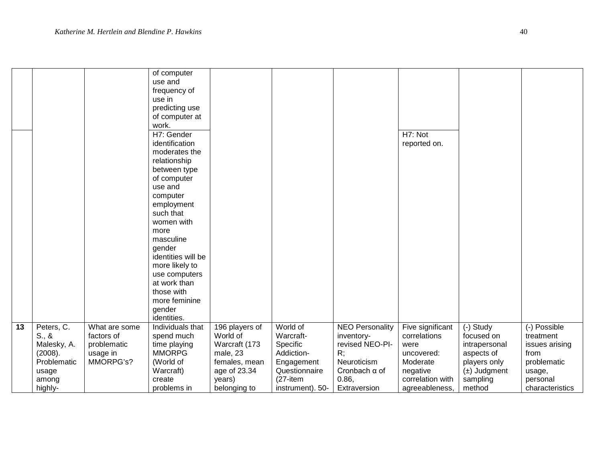|    |                                                                                                |                                                                     | of computer<br>use and<br>frequency of<br>use in<br>predicting use<br>of computer at<br>work.                                                                                                                                                                                                                                |                                                                                                                    |                                                                                                                     |                                                                                                                               |                                                                                                                      |                                                                                                                  |                                                                                                             |
|----|------------------------------------------------------------------------------------------------|---------------------------------------------------------------------|------------------------------------------------------------------------------------------------------------------------------------------------------------------------------------------------------------------------------------------------------------------------------------------------------------------------------|--------------------------------------------------------------------------------------------------------------------|---------------------------------------------------------------------------------------------------------------------|-------------------------------------------------------------------------------------------------------------------------------|----------------------------------------------------------------------------------------------------------------------|------------------------------------------------------------------------------------------------------------------|-------------------------------------------------------------------------------------------------------------|
|    |                                                                                                |                                                                     | H7: Gender<br>identification<br>moderates the<br>relationship<br>between type<br>of computer<br>use and<br>computer<br>employment<br>such that<br>women with<br>more<br>masculine<br>gender<br>identities will be<br>more likely to<br>use computers<br>at work than<br>those with<br>more feminine<br>gender<br>identities. |                                                                                                                    |                                                                                                                     |                                                                                                                               | H7: Not<br>reported on.                                                                                              |                                                                                                                  |                                                                                                             |
| 13 | Peters, C.<br>$S_{.}, 8$<br>Malesky, A.<br>(2008).<br>Problematic<br>usage<br>among<br>highly- | What are some<br>factors of<br>problematic<br>usage in<br>MMORPG's? | Individuals that<br>spend much<br>time playing<br><b>MMORPG</b><br>(World of<br>Warcraft)<br>create<br>problems in                                                                                                                                                                                                           | 196 players of<br>World of<br>Warcraft (173<br>male, 23<br>females, mean<br>age of 23.34<br>years)<br>belonging to | World of<br>Warcraft-<br>Specific<br>Addiction-<br>Engagement<br>Questionnaire<br>$(27 - item)$<br>instrument). 50- | <b>NEO Personality</b><br>inventory-<br>revised NEO-PI-<br>R;<br>Neuroticism<br>Cronbach $\alpha$ of<br>0.86,<br>Extraversion | Five significant<br>correlations<br>were<br>uncovered:<br>Moderate<br>negative<br>correlation with<br>agreeableness, | (-) Study<br>focused on<br>intrapersonal<br>aspects of<br>players only<br>$(\pm)$ Judgment<br>sampling<br>method | (-) Possible<br>treatment<br>issues arising<br>from<br>problematic<br>usage,<br>personal<br>characteristics |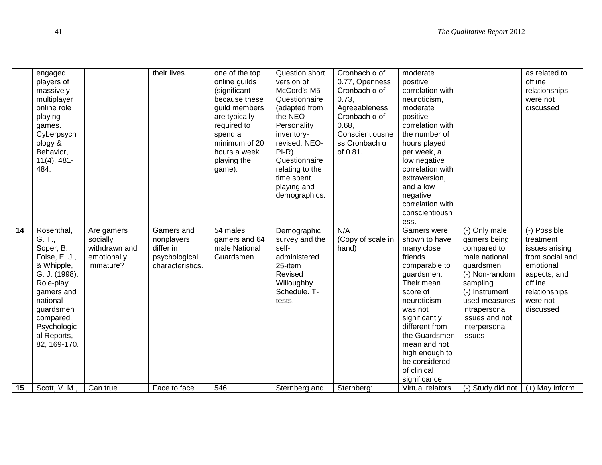|    | engaged<br>players of<br>massively<br>multiplayer<br>online role<br>playing<br>games.<br>Cyberpsych<br>ology &<br>Behavior,<br>$11(4)$ , 481-<br>484.                                             |                                                                     | their lives.                                                               | one of the top<br>online guilds<br>(significant<br>because these<br>guild members<br>are typically<br>required to<br>spend a<br>minimum of 20<br>hours a week<br>playing the<br>game). | Question short<br>version of<br>McCord's M5<br>Questionnaire<br>(adapted from<br>the NEO<br>Personality<br>inventory-<br>revised: NEO-<br>$PI-R$ ).<br>Questionnaire<br>relating to the<br>time spent<br>playing and<br>demographics. | Cronbach $\alpha$ of<br>0.77, Openness<br>Cronbach $\alpha$ of<br>0.73,<br>Agreeableness<br>Cronbach $\alpha$ of<br>0.68,<br>Conscientiousne<br>ss Cronbach α<br>of 0.81. | moderate<br>positive<br>correlation with<br>neuroticism,<br>moderate<br>positive<br>correlation with<br>the number of<br>hours played<br>per week, a<br>low negative<br>correlation with<br>extraversion,<br>and a low<br>negative<br>correlation with<br>conscientiousn<br>ess.       |                                                                                                                                                                                                           | as related to<br>offline<br>relationships<br>were not<br>discussed                                                                               |
|----|---------------------------------------------------------------------------------------------------------------------------------------------------------------------------------------------------|---------------------------------------------------------------------|----------------------------------------------------------------------------|----------------------------------------------------------------------------------------------------------------------------------------------------------------------------------------|---------------------------------------------------------------------------------------------------------------------------------------------------------------------------------------------------------------------------------------|---------------------------------------------------------------------------------------------------------------------------------------------------------------------------|----------------------------------------------------------------------------------------------------------------------------------------------------------------------------------------------------------------------------------------------------------------------------------------|-----------------------------------------------------------------------------------------------------------------------------------------------------------------------------------------------------------|--------------------------------------------------------------------------------------------------------------------------------------------------|
| 14 | Rosenthal,<br>G. T.,<br>Soper, B.,<br>Folse, E. J.,<br>& Whipple,<br>G. J. (1998).<br>Role-play<br>gamers and<br>national<br>guardsmen<br>compared.<br>Psychologic<br>al Reports,<br>82, 169-170. | Are gamers<br>socially<br>withdrawn and<br>emotionally<br>immature? | Gamers and<br>nonplayers<br>differ in<br>psychological<br>characteristics. | 54 males<br>gamers and 64<br>male National<br>Guardsmen                                                                                                                                | Demographic<br>survey and the<br>self-<br>administered<br>25-item<br>Revised<br>Willoughby<br>Schedule, T-<br>tests.                                                                                                                  | N/A<br>(Copy of scale in<br>hand)                                                                                                                                         | <b>Gamers</b> were<br>shown to have<br>many close<br>friends<br>comparable to<br>guardsmen.<br>Their mean<br>score of<br>neuroticism<br>was not<br>significantly<br>different from<br>the Guardsmen<br>mean and not<br>high enough to<br>be considered<br>of clinical<br>significance. | (-) Only male<br>gamers being<br>compared to<br>male national<br>guardsmen<br>(-) Non-random<br>sampling<br>(-) Instrument<br>used measures<br>intrapersonal<br>issues and not<br>interpersonal<br>issues | (-) Possible<br>treatment<br>issues arising<br>from social and<br>emotional<br>aspects, and<br>offline<br>relationships<br>were not<br>discussed |
| 15 | Scott, V. M.,                                                                                                                                                                                     | Can true                                                            | Face to face                                                               | 546                                                                                                                                                                                    | Sternberg and                                                                                                                                                                                                                         | Sternberg:                                                                                                                                                                | Virtual relators                                                                                                                                                                                                                                                                       | (-) Study did not                                                                                                                                                                                         | $(+)$ May inform                                                                                                                                 |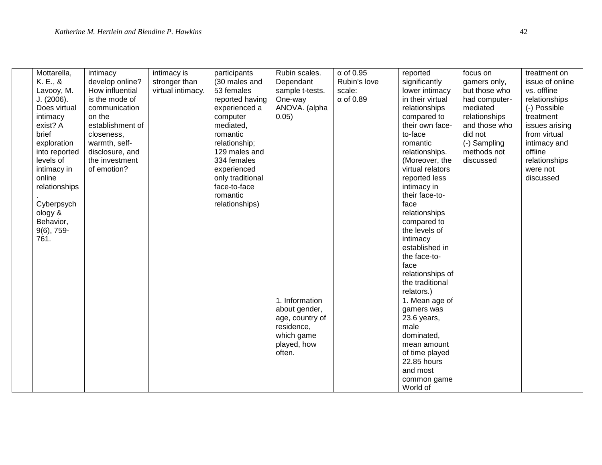| Mottarella,   | intimacy         | intimacy is       | participants     | Rubin scales.   | $\alpha$ of 0.95 | reported         | focus on      | treatment on    |
|---------------|------------------|-------------------|------------------|-----------------|------------------|------------------|---------------|-----------------|
| K. E., &      | develop online?  | stronger than     | (30 males and    | Dependant       | Rubin's love     | significantly    | gamers only,  | issue of online |
| Lavooy, M.    | How influential  | virtual intimacy. | 53 females       | sample t-tests. | scale:           | lower intimacy   | but those who | vs. offline     |
| J. (2006).    | is the mode of   |                   | reported having  | One-way         | $\alpha$ of 0.89 | in their virtual | had computer- | relationships   |
| Does virtual  | communication    |                   | experienced a    | ANOVA. (alpha   |                  | relationships    | mediated      | (-) Possible    |
| intimacy      | on the           |                   | computer         | 0.05)           |                  | compared to      | relationships | treatment       |
| exist? A      | establishment of |                   | mediated,        |                 |                  | their own face-  | and those who | issues arising  |
| brief         | closeness,       |                   | romantic         |                 |                  | to-face          | did not       | from virtual    |
| exploration   | warmth, self-    |                   | relationship;    |                 |                  | romantic         | (-) Sampling  | intimacy and    |
| into reported | disclosure, and  |                   | 129 males and    |                 |                  | relationships.   | methods not   | offline         |
| levels of     | the investment   |                   | 334 females      |                 |                  | (Moreover, the   | discussed     | relationships   |
| intimacy in   | of emotion?      |                   | experienced      |                 |                  | virtual relators |               | were not        |
| online        |                  |                   | only traditional |                 |                  | reported less    |               | discussed       |
| relationships |                  |                   | face-to-face     |                 |                  | intimacy in      |               |                 |
|               |                  |                   | romantic         |                 |                  | their face-to-   |               |                 |
| Cyberpsych    |                  |                   | relationships)   |                 |                  | face             |               |                 |
| ology &       |                  |                   |                  |                 |                  | relationships    |               |                 |
| Behavior,     |                  |                   |                  |                 |                  | compared to      |               |                 |
| $9(6)$ , 759- |                  |                   |                  |                 |                  | the levels of    |               |                 |
| 761.          |                  |                   |                  |                 |                  | intimacy         |               |                 |
|               |                  |                   |                  |                 |                  | established in   |               |                 |
|               |                  |                   |                  |                 |                  | the face-to-     |               |                 |
|               |                  |                   |                  |                 |                  | face             |               |                 |
|               |                  |                   |                  |                 |                  | relationships of |               |                 |
|               |                  |                   |                  |                 |                  | the traditional  |               |                 |
|               |                  |                   |                  |                 |                  | relators.)       |               |                 |
|               |                  |                   |                  | 1. Information  |                  | 1. Mean age of   |               |                 |
|               |                  |                   |                  | about gender,   |                  | gamers was       |               |                 |
|               |                  |                   |                  | age, country of |                  | 23.6 years,      |               |                 |
|               |                  |                   |                  | residence,      |                  | male             |               |                 |
|               |                  |                   |                  | which game      |                  | dominated,       |               |                 |
|               |                  |                   |                  |                 |                  |                  |               |                 |
|               |                  |                   |                  | played, how     |                  | mean amount      |               |                 |
|               |                  |                   |                  | often.          |                  | of time played   |               |                 |
|               |                  |                   |                  |                 |                  | 22.85 hours      |               |                 |
|               |                  |                   |                  |                 |                  | and most         |               |                 |
|               |                  |                   |                  |                 |                  | common game      |               |                 |
|               |                  |                   |                  |                 |                  | World of         |               |                 |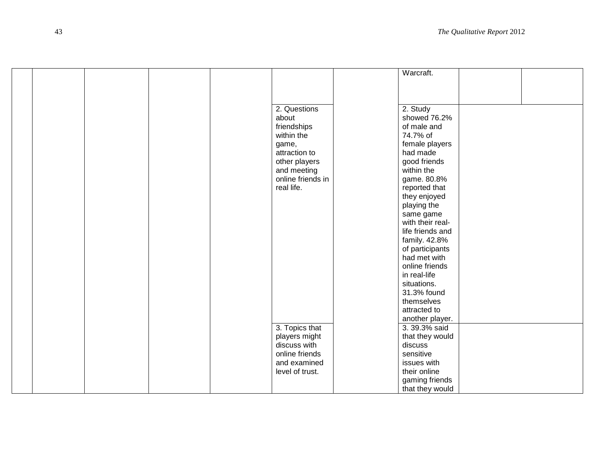|  |  |                   | Warcraft.        |  |
|--|--|-------------------|------------------|--|
|  |  |                   |                  |  |
|  |  |                   |                  |  |
|  |  |                   |                  |  |
|  |  | 2. Questions      | 2. Study         |  |
|  |  | about             | showed 76.2%     |  |
|  |  |                   | of male and      |  |
|  |  | friendships       |                  |  |
|  |  | within the        | 74.7% of         |  |
|  |  | game,             | female players   |  |
|  |  | attraction to     | had made         |  |
|  |  | other players     | good friends     |  |
|  |  | and meeting       | within the       |  |
|  |  | online friends in | game. 80.8%      |  |
|  |  | real life.        | reported that    |  |
|  |  |                   | they enjoyed     |  |
|  |  |                   | playing the      |  |
|  |  |                   | same game        |  |
|  |  |                   | with their real- |  |
|  |  |                   | life friends and |  |
|  |  |                   | family. 42.8%    |  |
|  |  |                   | of participants  |  |
|  |  |                   | had met with     |  |
|  |  |                   | online friends   |  |
|  |  |                   | in real-life     |  |
|  |  |                   | situations.      |  |
|  |  |                   | 31.3% found      |  |
|  |  |                   | themselves       |  |
|  |  |                   | attracted to     |  |
|  |  |                   | another player.  |  |
|  |  | 3. Topics that    | 3.39.3% said     |  |
|  |  |                   |                  |  |
|  |  | players might     | that they would  |  |
|  |  | discuss with      | discuss          |  |
|  |  | online friends    | sensitive        |  |
|  |  | and examined      | issues with      |  |
|  |  | level of trust.   | their online     |  |
|  |  |                   | gaming friends   |  |
|  |  |                   | that they would  |  |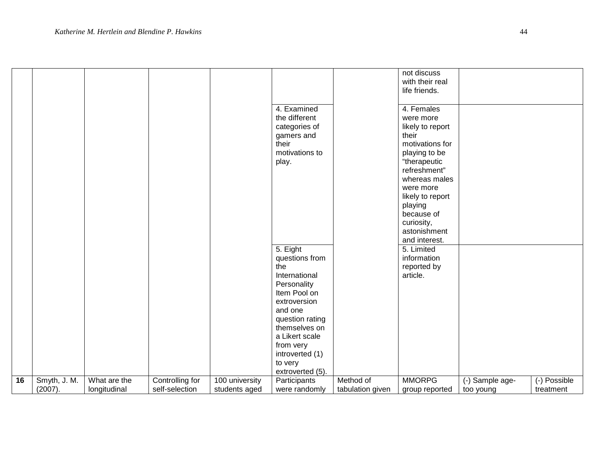|    |                         |                              |                                   |                                 |                                                                                                                                                                                                     |                               | not discuss<br>with their real<br>life friends.                                                                                                                                                                                                    |                 |                           |
|----|-------------------------|------------------------------|-----------------------------------|---------------------------------|-----------------------------------------------------------------------------------------------------------------------------------------------------------------------------------------------------|-------------------------------|----------------------------------------------------------------------------------------------------------------------------------------------------------------------------------------------------------------------------------------------------|-----------------|---------------------------|
|    |                         |                              |                                   |                                 | 4. Examined<br>the different<br>categories of<br>gamers and<br>their<br>motivations to<br>play.                                                                                                     |                               | 4. Females<br>were more<br>likely to report<br>their<br>motivations for<br>playing to be<br>"therapeutic<br>refreshment"<br>whereas males<br>were more<br>likely to report<br>playing<br>because of<br>curiosity,<br>astonishment<br>and interest. |                 |                           |
|    |                         |                              |                                   |                                 | 5. Eight<br>questions from                                                                                                                                                                          |                               | 5. Limited<br>information                                                                                                                                                                                                                          |                 |                           |
|    |                         |                              |                                   |                                 | the<br>International<br>Personality<br>Item Pool on<br>extroversion<br>and one<br>question rating<br>themselves on<br>a Likert scale<br>from very<br>introverted (1)<br>to very<br>extroverted (5). |                               | reported by<br>article.                                                                                                                                                                                                                            |                 |                           |
| 16 | Smyth, J. M.<br>(2007). | What are the<br>longitudinal | Controlling for<br>self-selection | 100 university<br>students aged | Participants<br>were randomly                                                                                                                                                                       | Method of<br>tabulation given | <b>MMORPG</b>                                                                                                                                                                                                                                      | (-) Sample age- | (-) Possible<br>treatment |
|    |                         |                              |                                   |                                 |                                                                                                                                                                                                     |                               | group reported                                                                                                                                                                                                                                     | too young       |                           |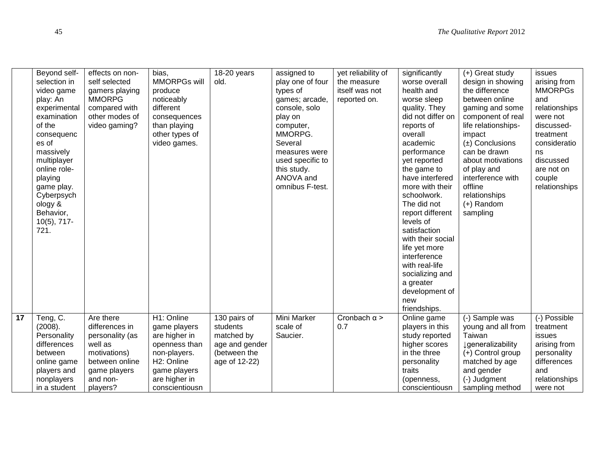|                 | Beyond self-             | effects on non- | bias,          | 18-20 years    | assigned to              | yet reliability of  | significantly           | $(+)$ Great study                   | issues             |
|-----------------|--------------------------|-----------------|----------------|----------------|--------------------------|---------------------|-------------------------|-------------------------------------|--------------------|
|                 | selection in             | self selected   | MMORPGs will   | old.           | play one of four         | the measure         | worse overall           | design in showing                   | arising from       |
|                 | video game               | gamers playing  | produce        |                | types of                 | itself was not      | health and              | the difference                      | <b>MMORPGs</b>     |
|                 | play: An                 | <b>MMORPG</b>   | noticeably     |                | games; arcade,           | reported on.        | worse sleep             | between online                      | and                |
|                 | experimental             | compared with   | different      |                | console, solo            |                     | quality. They           | gaming and some                     | relationships      |
|                 | examination              | other modes of  | consequences   |                | play on                  |                     | did not differ on       | component of real                   | were not           |
|                 | of the                   | video gaming?   | than playing   |                | computer,                |                     | reports of              | life relationships-                 | discussed-         |
|                 | consequenc               |                 | other types of |                | MMORPG.                  |                     | overall                 | impact                              | treatment          |
|                 | es of                    |                 | video games.   |                | Several<br>measures were |                     | academic<br>performance | $(\pm)$ Conclusions<br>can be drawn | consideratio<br>ns |
|                 | massively<br>multiplayer |                 |                |                | used specific to         |                     | yet reported            | about motivations                   | discussed          |
|                 | online role-             |                 |                |                | this study.              |                     | the game to             | of play and                         | are not on         |
|                 | playing                  |                 |                |                | ANOVA and                |                     | have interfered         | interference with                   | couple             |
|                 | game play.               |                 |                |                | omnibus F-test.          |                     | more with their         | offline                             | relationships      |
|                 | Cyberpsych               |                 |                |                |                          |                     | schoolwork.             | relationships                       |                    |
|                 | ology &                  |                 |                |                |                          |                     | The did not             | $(+)$ Random                        |                    |
|                 | Behavior,                |                 |                |                |                          |                     | report different        | sampling                            |                    |
|                 | $10(5)$ , 717-           |                 |                |                |                          |                     | levels of               |                                     |                    |
|                 | 721.                     |                 |                |                |                          |                     | satisfaction            |                                     |                    |
|                 |                          |                 |                |                |                          |                     | with their social       |                                     |                    |
|                 |                          |                 |                |                |                          |                     | life yet more           |                                     |                    |
|                 |                          |                 |                |                |                          |                     | interference            |                                     |                    |
|                 |                          |                 |                |                |                          |                     | with real-life          |                                     |                    |
|                 |                          |                 |                |                |                          |                     | socializing and         |                                     |                    |
|                 |                          |                 |                |                |                          |                     | a greater               |                                     |                    |
|                 |                          |                 |                |                |                          |                     | development of<br>new   |                                     |                    |
|                 |                          |                 |                |                |                          |                     | friendships.            |                                     |                    |
| $\overline{17}$ | Teng, C.                 | Are there       | H1: Online     | 130 pairs of   | Mini Marker              | Cronbach $\alpha$ > | Online game             | (-) Sample was                      | (-) Possible       |
|                 | (2008).                  | differences in  | game players   | students       | scale of                 | 0.7                 | players in this         | young and all from                  | treatment          |
|                 | Personality              | personality (as | are higher in  | matched by     | Saucier.                 |                     | study reported          | Taiwan                              | issues             |
|                 | differences              | well as         | openness than  | age and gender |                          |                     | higher scores           | <b>J</b> generalizability           | arising from       |
|                 | between                  | motivations)    | non-players.   | (between the   |                          |                     | in the three            | (+) Control group                   | personality        |
|                 | online game              | between online  | H2: Online     | age of 12-22)  |                          |                     | personality             | matched by age                      | differences        |
|                 | players and              | game players    | game players   |                |                          |                     | traits                  | and gender                          | and                |
|                 | nonplayers               | and non-        | are higher in  |                |                          |                     | (openness,              | (-) Judgment                        | relationships      |
|                 | in a student             | players?        | conscientiousn |                |                          |                     | conscientiousn          | sampling method                     | were not           |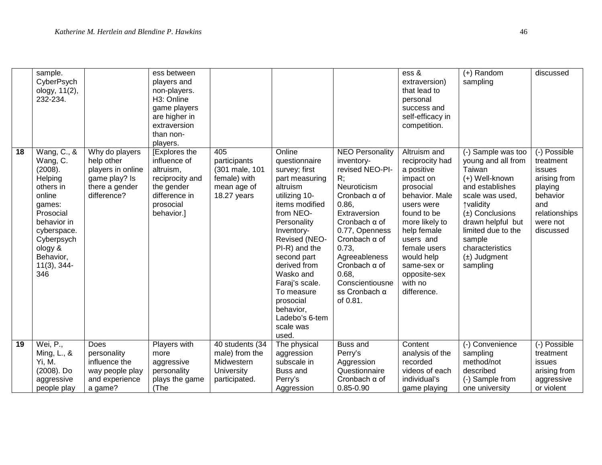|    | sample.<br>CyberPsych<br>ology, 11(2),<br>232-234.                                                                                                                                      |                                                                                                     | ess between<br>players and<br>non-players.<br>H3: Online<br>game players<br>are higher in<br>extraversion<br>than non-<br>players. |                                                                                       |                                                                                                                                                                                                                                                                                                                                     |                                                                                                                                                                                                                                                                                                            | ess &<br>extraversion)<br>that lead to<br>personal<br>success and<br>self-efficacy in<br>competition.                                                                                                                                                       | $(+)$ Random<br>sampling                                                                                                                                                                                                                               | discussed                                                                                                                   |
|----|-----------------------------------------------------------------------------------------------------------------------------------------------------------------------------------------|-----------------------------------------------------------------------------------------------------|------------------------------------------------------------------------------------------------------------------------------------|---------------------------------------------------------------------------------------|-------------------------------------------------------------------------------------------------------------------------------------------------------------------------------------------------------------------------------------------------------------------------------------------------------------------------------------|------------------------------------------------------------------------------------------------------------------------------------------------------------------------------------------------------------------------------------------------------------------------------------------------------------|-------------------------------------------------------------------------------------------------------------------------------------------------------------------------------------------------------------------------------------------------------------|--------------------------------------------------------------------------------------------------------------------------------------------------------------------------------------------------------------------------------------------------------|-----------------------------------------------------------------------------------------------------------------------------|
| 18 | Wang, C., &<br>Wang, C.<br>(2008).<br>Helping<br>others in<br>online<br>games:<br>Prosocial<br>behavior in<br>cyberspace.<br>Cyberpsych<br>ology &<br>Behavior,<br>$11(3), 344-$<br>346 | Why do players<br>help other<br>players in online<br>game play? Is<br>there a gender<br>difference? | [Explores the<br>influence of<br>altruism,<br>reciprocity and<br>the gender<br>difference in<br>prosocial<br>behavior.]            | 405<br>participants<br>(301 male, 101<br>female) with<br>mean age of<br>18.27 years   | Online<br>questionnaire<br>survey; first<br>part measuring<br>altruism<br>utilizing 10-<br>items modified<br>from NEO-<br>Personality<br>Inventory-<br>Revised (NEO-<br>PI-R) and the<br>second part<br>derived from<br>Wasko and<br>Faraj's scale.<br>To measure<br>prosocial<br>behavior,<br>Ladebo's 6-tem<br>scale was<br>used. | <b>NEO Personality</b><br>inventory-<br>revised NEO-PI-<br>R:<br>Neuroticism<br>Cronbach $\alpha$ of<br>0.86.<br>Extraversion<br>Cronbach $\alpha$ of<br>0.77, Openness<br>Cronbach $\alpha$ of<br>0.73.<br>Agreeableness<br>Cronbach $\alpha$ of<br>0.68.<br>Conscientiousne<br>ss Cronbach α<br>of 0.81. | Altruism and<br>reciprocity had<br>a positive<br>impact on<br>prosocial<br>behavior. Male<br>users were<br>found to be<br>more likely to<br>help female<br>users and<br>female users<br>would help<br>same-sex or<br>opposite-sex<br>with no<br>difference. | (-) Sample was too<br>young and all from<br>Taiwan<br>(+) Well-known<br>and establishes<br>scale was used,<br>↑validity<br>$(\pm)$ Conclusions<br>drawn helpful but<br>limited due to the<br>sample<br>characteristics<br>$(\pm)$ Judgment<br>sampling | (-) Possible<br>treatment<br>issues<br>arising from<br>playing<br>behavior<br>and<br>relationships<br>were not<br>discussed |
| 19 | Wei, P.,<br>Ming, L., &<br>Yi, M.<br>(2008). Do<br>aggressive                                                                                                                           | Does<br>personality<br>influence the<br>way people play<br>and experience                           | Players with<br>more<br>aggressive<br>personality<br>plays the game                                                                | 40 students (34<br>male) from the<br>Midwestern<br><b>University</b><br>participated. | The physical<br>aggression<br>subscale in<br>Buss and<br>Perry's                                                                                                                                                                                                                                                                    | Buss and<br>Perry's<br>Aggression<br>Questionnaire<br>Cronbach $\alpha$ of                                                                                                                                                                                                                                 | Content<br>analysis of the<br>recorded<br>videos of each<br>individual's                                                                                                                                                                                    | (-) Convenience<br>sampling<br>method/not<br>described<br>(-) Sample from                                                                                                                                                                              | (-) Possible<br>treatment<br>issues<br>arising from<br>aggressive                                                           |
|    | people play                                                                                                                                                                             | a game?                                                                                             | (The                                                                                                                               |                                                                                       | Aggression                                                                                                                                                                                                                                                                                                                          | $0.85 - 0.90$                                                                                                                                                                                                                                                                                              | game playing                                                                                                                                                                                                                                                | one university                                                                                                                                                                                                                                         | or violent                                                                                                                  |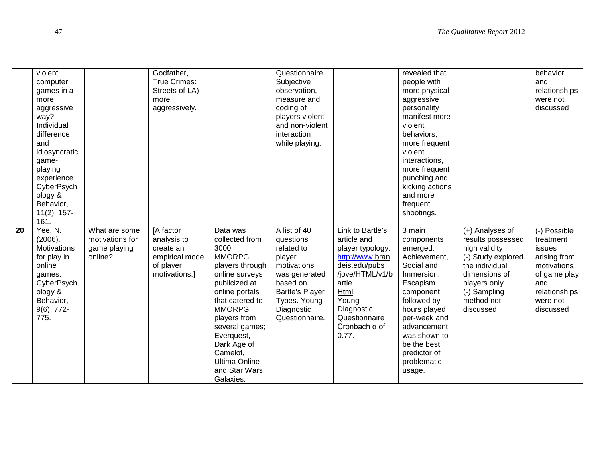|    | violent<br>computer<br>games in a<br>more<br>aggressive<br>way?<br>Individual<br>difference<br>and<br>idiosyncratic<br>game-<br>playing<br>experience.<br>CyberPsych<br>ology &<br>Behavior,<br>$11(2)$ , 157-<br>161. |                                                             | Godfather,<br>True Crimes:<br>Streets of LA)<br>more<br>aggressively.                  |                                                                                                                                                                                                                                                                                                  | Questionnaire.<br>Subjective<br>observation,<br>measure and<br>coding of<br>players violent<br>and non-violent<br>interaction<br>while playing.                  |                                                                                                                                                                                                       | revealed that<br>people with<br>more physical-<br>aggressive<br>personality<br>manifest more<br>violent<br>behaviors;<br>more frequent<br>violent<br>interactions,<br>more frequent<br>punching and<br>kicking actions<br>and more<br>frequent<br>shootings. |                                                                                                                                                                           | behavior<br>and<br>relationships<br>were not<br>discussed                                                                                  |
|----|------------------------------------------------------------------------------------------------------------------------------------------------------------------------------------------------------------------------|-------------------------------------------------------------|----------------------------------------------------------------------------------------|--------------------------------------------------------------------------------------------------------------------------------------------------------------------------------------------------------------------------------------------------------------------------------------------------|------------------------------------------------------------------------------------------------------------------------------------------------------------------|-------------------------------------------------------------------------------------------------------------------------------------------------------------------------------------------------------|--------------------------------------------------------------------------------------------------------------------------------------------------------------------------------------------------------------------------------------------------------------|---------------------------------------------------------------------------------------------------------------------------------------------------------------------------|--------------------------------------------------------------------------------------------------------------------------------------------|
| 20 | Yee, N.<br>(2006).<br><b>Motivations</b><br>for play in<br>online<br>games.<br>CyberPsych<br>ology &<br>Behavior,<br>$9(6)$ , 772-<br>775.                                                                             | What are some<br>motivations for<br>game playing<br>online? | [A factor<br>analysis to<br>create an<br>empirical model<br>of player<br>motivations.] | Data was<br>collected from<br>3000<br><b>MMORPG</b><br>players through<br>online surveys<br>publicized at<br>online portals<br>that catered to<br><b>MMORPG</b><br>players from<br>several games;<br>Everquest,<br>Dark Age of<br>Camelot,<br><b>Ultima Online</b><br>and Star Wars<br>Galaxies. | A list of 40<br>questions<br>related to<br>player<br>motivations<br>was generated<br>based on<br>Bartle's Player<br>Types. Young<br>Diagnostic<br>Questionnaire. | Link to Bartle's<br>article and<br>player typology:<br>http://www.bran<br>deis.edu/pubs<br>/jove/HTML/v1/b<br>artle.<br>Html<br>Young<br>Diagnostic<br>Questionnaire<br>Cronbach $\alpha$ of<br>0.77. | 3 main<br>components<br>emerged;<br>Achievement,<br>Social and<br>Immersion.<br>Escapism<br>component<br>followed by<br>hours played<br>per-week and<br>advancement<br>was shown to<br>be the best<br>predictor of<br>problematic<br>usage.                  | (+) Analyses of<br>results possessed<br>high validity<br>(-) Study explored<br>the individual<br>dimensions of<br>players only<br>(-) Sampling<br>method not<br>discussed | (-) Possible<br>treatment<br><i>issues</i><br>arising from<br>motivations<br>of game play<br>and<br>relationships<br>were not<br>discussed |